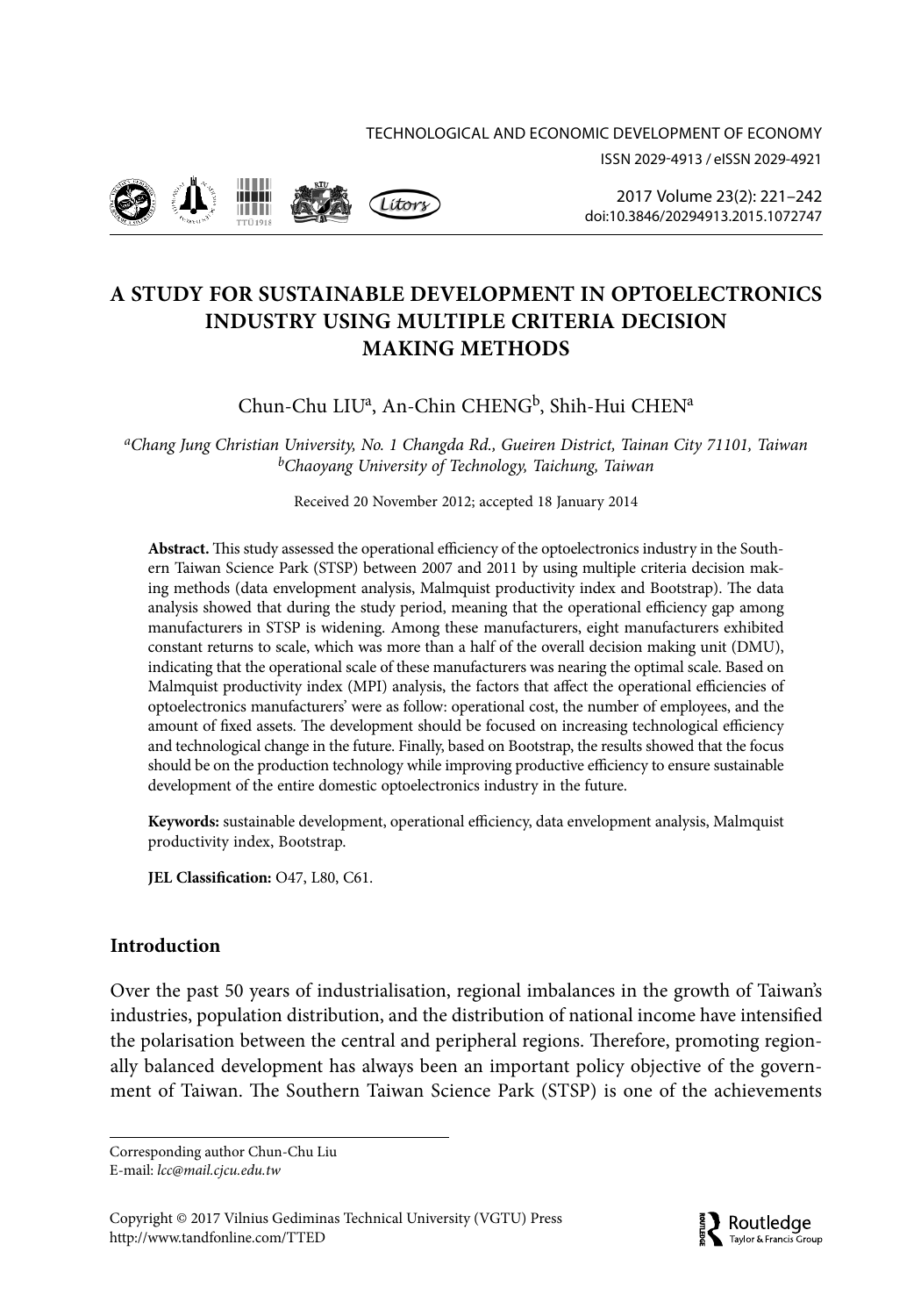



2017 Volume 23(2): 221–242 doi:10.3846/20294913.2015.1072747

# **A STUDY FOR SUSTAINABLE DEVELOPMENT IN OPTOELECTRONICS INDUSTRY USING MULTIPLE CRITERIA DECISION MAKING METHODS**

# Chun-Chu LIUª, An-Chin CHENG<sup>b</sup>, Shih-Hui CHENª

*aChang Jung Christian University, No. 1 Changda Rd., Gueiren District, Tainan City 71101, Taiwan bChaoyang University of Technology, Taichung, Taiwan*

Received 20 November 2012; accepted 18 January 2014

**Abstract.** This study assessed the operational efficiency of the optoelectronics industry in the Southern Taiwan Science Park (STSP) between 2007 and 2011 by using multiple criteria decision making methods (data envelopment analysis, Malmquist productivity index and Bootstrap). The data analysis showed that during the study period, meaning that the operational efficiency gap among manufacturers in STSP is widening. Among these manufacturers, eight manufacturers exhibited constant returns to scale, which was more than a half of the overall decision making unit (DMU), indicating that the operational scale of these manufacturers was nearing the optimal scale. Based on Malmquist productivity index (MPI) analysis, the factors that affect the operational efficiencies of optoelectronics manufacturers' were as follow: operational cost, the number of employees, and the amount of fixed assets. The development should be focused on increasing technological efficiency and technological change in the future. Finally, based on Bootstrap, the results showed that the focus should be on the production technology while improving productive efficiency to ensure sustainable development of the entire domestic optoelectronics industry in the future.

**Keywords:** sustainable development, operational efficiency, data envelopment analysis, Malmquist productivity index, Bootstrap.

**JEL Classification:** O47, L80, C61.

## **Introduction**

Over the past 50 years of industrialisation, regional imbalances in the growth of Taiwan's industries, population distribution, and the distribution of national income have intensified the polarisation between the central and peripheral regions. Therefore, promoting regionally balanced development has always been an important policy objective of the government of Taiwan. The Southern Taiwan Science Park (STSP) is one of the achievements

Corresponding author Chun-Chu Liu E-mail: *lcc@mail.cjcu.edu.tw*

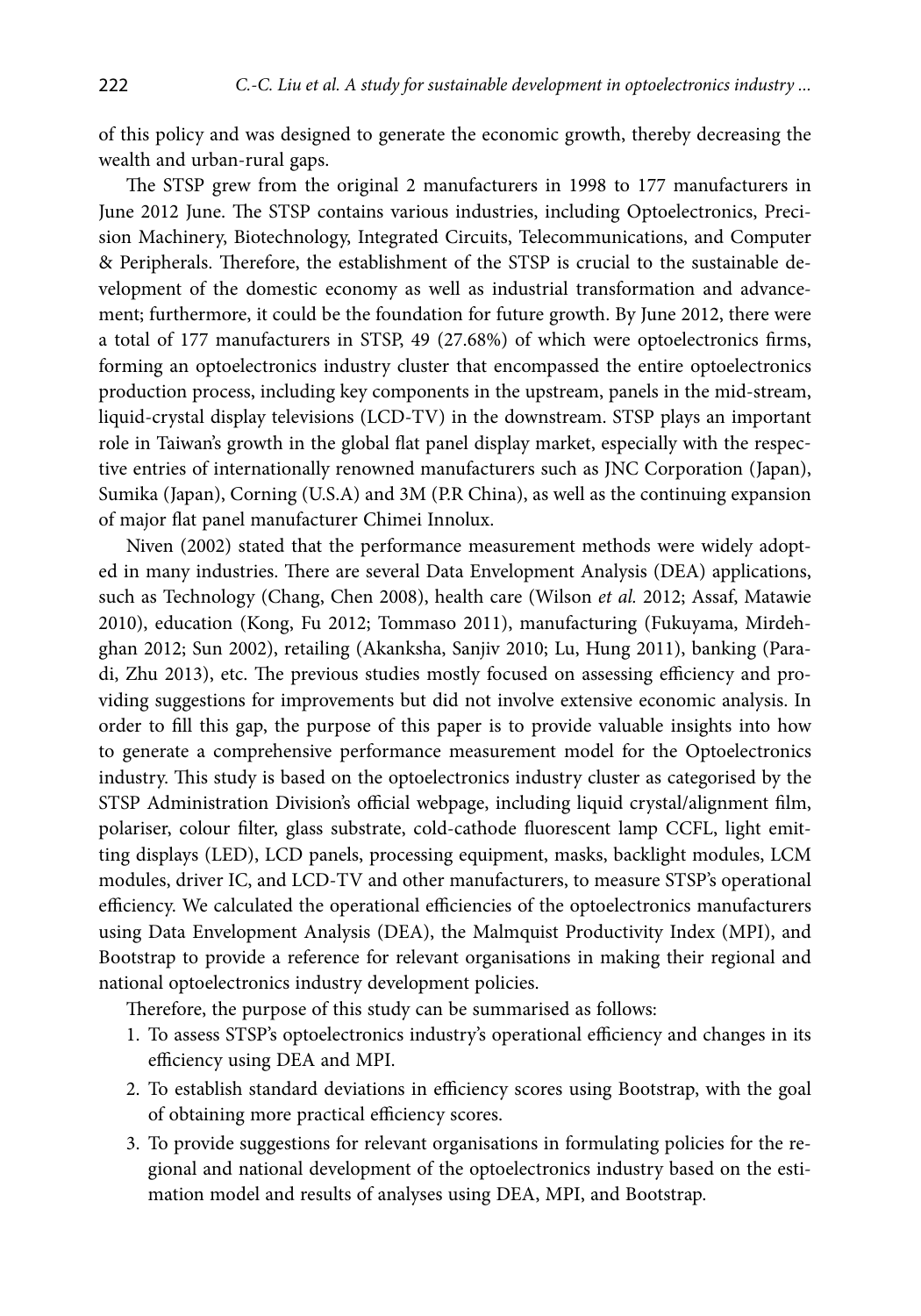of this policy and was designed to generate the economic growth, thereby decreasing the wealth and urban-rural gaps.

The STSP grew from the original 2 manufacturers in 1998 to 177 manufacturers in June 2012 June. The STSP contains various industries, including Optoelectronics, Precision Machinery, Biotechnology, Integrated Circuits, Telecommunications, and Computer & Peripherals. Therefore, the establishment of the STSP is crucial to the sustainable development of the domestic economy as well as industrial transformation and advancement; furthermore, it could be the foundation for future growth. By June 2012, there were a total of 177 manufacturers in STSP, 49 (27.68%) of which were optoelectronics firms, forming an optoelectronics industry cluster that encompassed the entire optoelectronics production process, including key components in the upstream, panels in the mid-stream, liquid-crystal display televisions (LCD-TV) in the downstream. STSP plays an important role in Taiwan's growth in the global flat panel display market, especially with the respective entries of internationally renowned manufacturers such as JNC Corporation (Japan), Sumika (Japan), Corning (U.S.A) and 3M (P.R China), as well as the continuing expansion of major flat panel manufacturer Chimei Innolux.

Niven (2002) stated that the performance measurement methods were widely adopted in many industries. There are several Data Envelopment Analysis (DEA) applications, such as Technology (Chang, Chen 2008), health care (Wilson *et al.* 2012; Assaf, Matawie 2010), education (Kong, Fu 2012; Tommaso 2011), manufacturing (Fukuyama, Mirdehghan 2012; Sun 2002), retailing (Akanksha, Sanjiv 2010; Lu, Hung 2011), banking (Paradi, Zhu 2013), etc. The previous studies mostly focused on assessing efficiency and providing suggestions for improvements but did not involve extensive economic analysis. In order to fill this gap, the purpose of this paper is to provide valuable insights into how to generate a comprehensive performance measurement model for the Optoelectronics industry. This study is based on the optoelectronics industry cluster as categorised by the STSP Administration Division's official webpage, including liquid crystal/alignment film, polariser, colour filter, glass substrate, cold-cathode fluorescent lamp CCFL, light emitting displays (LED), LCD panels, processing equipment, masks, backlight modules, LCM modules, driver IC, and LCD-TV and other manufacturers, to measure STSP's operational efficiency. We calculated the operational efficiencies of the optoelectronics manufacturers using Data Envelopment Analysis (DEA), the Malmquist Productivity Index (MPI), and Bootstrap to provide a reference for relevant organisations in making their regional and national optoelectronics industry development policies.

Therefore, the purpose of this study can be summarised as follows:

- 1. To assess STSP's optoelectronics industry's operational efficiency and changes in its efficiency using DEA and MPI.
- 2. To establish standard deviations in efficiency scores using Bootstrap, with the goal of obtaining more practical efficiency scores.
- 3. To provide suggestions for relevant organisations in formulating policies for the regional and national development of the optoelectronics industry based on the estimation model and results of analyses using DEA, MPI, and Bootstrap.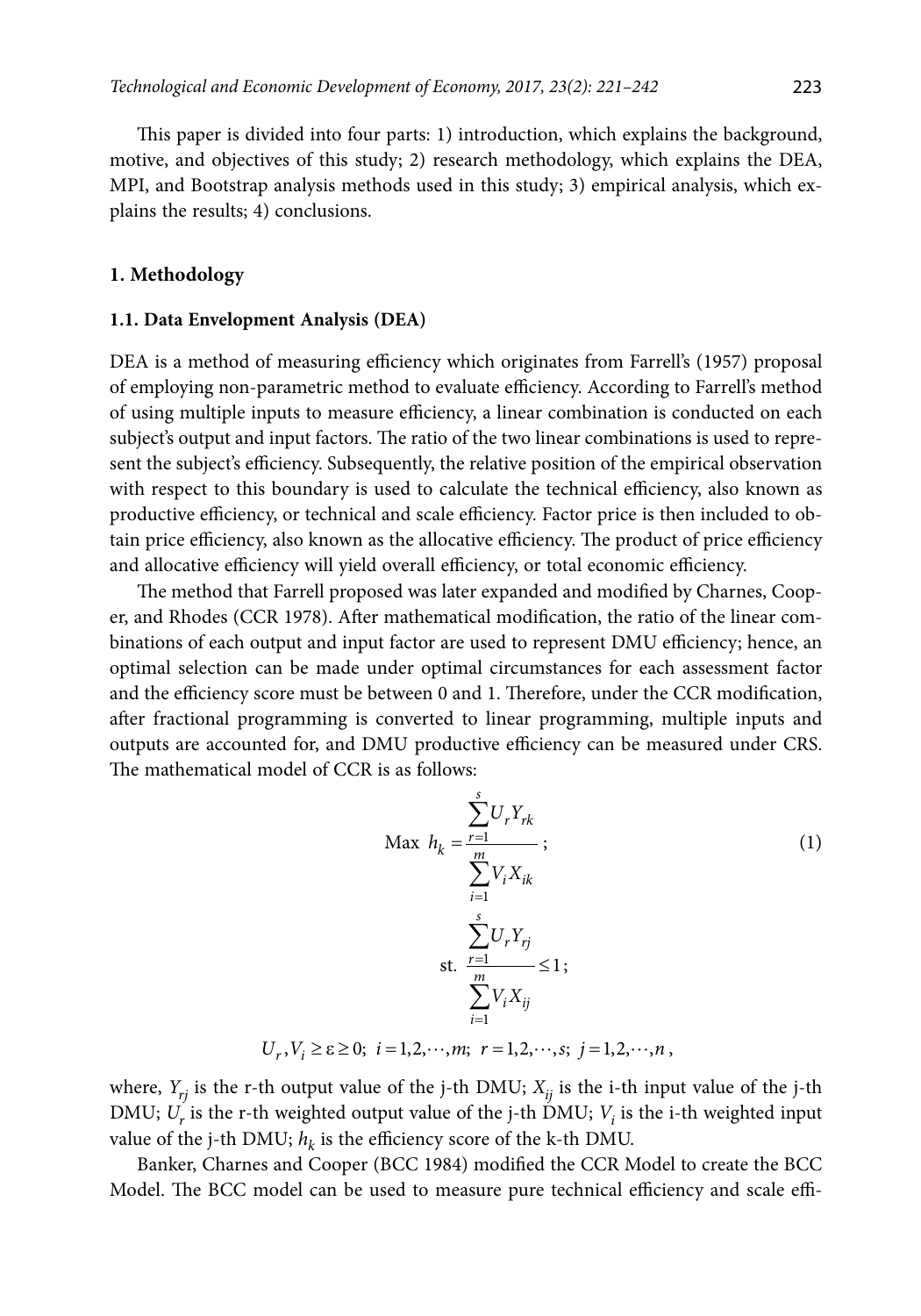This paper is divided into four parts: 1) introduction, which explains the background, motive, and objectives of this study; 2) research methodology, which explains the DEA, MPI, and Bootstrap analysis methods used in this study; 3) empirical analysis, which explains the results; 4) conclusions.

#### **1. Methodology**

#### **1.1. Data Envelopment Analysis (DEA)**

DEA is a method of measuring efficiency which originates from Farrell's (1957) proposal of employing non-parametric method to evaluate efficiency. According to Farrell's method of using multiple inputs to measure efficiency, a linear combination is conducted on each subject's output and input factors. The ratio of the two linear combinations is used to represent the subject's efficiency. Subsequently, the relative position of the empirical observation with respect to this boundary is used to calculate the technical efficiency, also known as productive efficiency, or technical and scale efficiency. Factor price is then included to obtain price efficiency, also known as the allocative efficiency. The product of price efficiency and allocative efficiency will yield overall efficiency, or total economic efficiency.

The method that Farrell proposed was later expanded and modified by Charnes, Cooper, and Rhodes (CCR 1978). After mathematical modification, the ratio of the linear combinations of each output and input factor are used to represent DMU efficiency; hence, an optimal selection can be made under optimal circumstances for each assessment factor and the efficiency score must be between 0 and 1. Therefore, under the CCR modification, after fractional programming is converted to linear programming, multiple inputs and outputs are accounted for, and DMU productive efficiency can be measured under CRS. The mathematical model of CCR is as follows:

$$
\begin{aligned}\n\text{Max} \quad & h_k = \frac{\sum_{r=1}^{s} U_r Y_{rk}}{\sum_{i=1}^{m} V_i X_{ik}}; \\
& \sum_{i=1}^{s} U_r Y_{rj} \\
\text{s.t.} \quad & \sum_{r=1}^{s} U_r Y_{rj} \\
& \sum_{i=1}^{m} V_i X_{ij} \\
& U_r, V_i \ge \varepsilon \ge 0; \quad i = 1, 2, \cdots, m; \quad r = 1, 2, \cdots, s; \quad j = 1, 2, \cdots, n \,,\n\end{aligned} \tag{1}
$$

where,  $Y_{ri}$  is the r-th output value of the j-th DMU;  $X_{ii}$  is the i-th input value of the j-th DMU;  $U_r$  is the r-th weighted output value of the j-th DMU;  $V_i$  is the i-th weighted input value of the j-th DMU;  $h_k$  is the efficiency score of the k-th DMU.

Banker, Charnes and Cooper (BCC 1984) modified the CCR Model to create the BCC Model. The BCC model can be used to measure pure technical efficiency and scale effi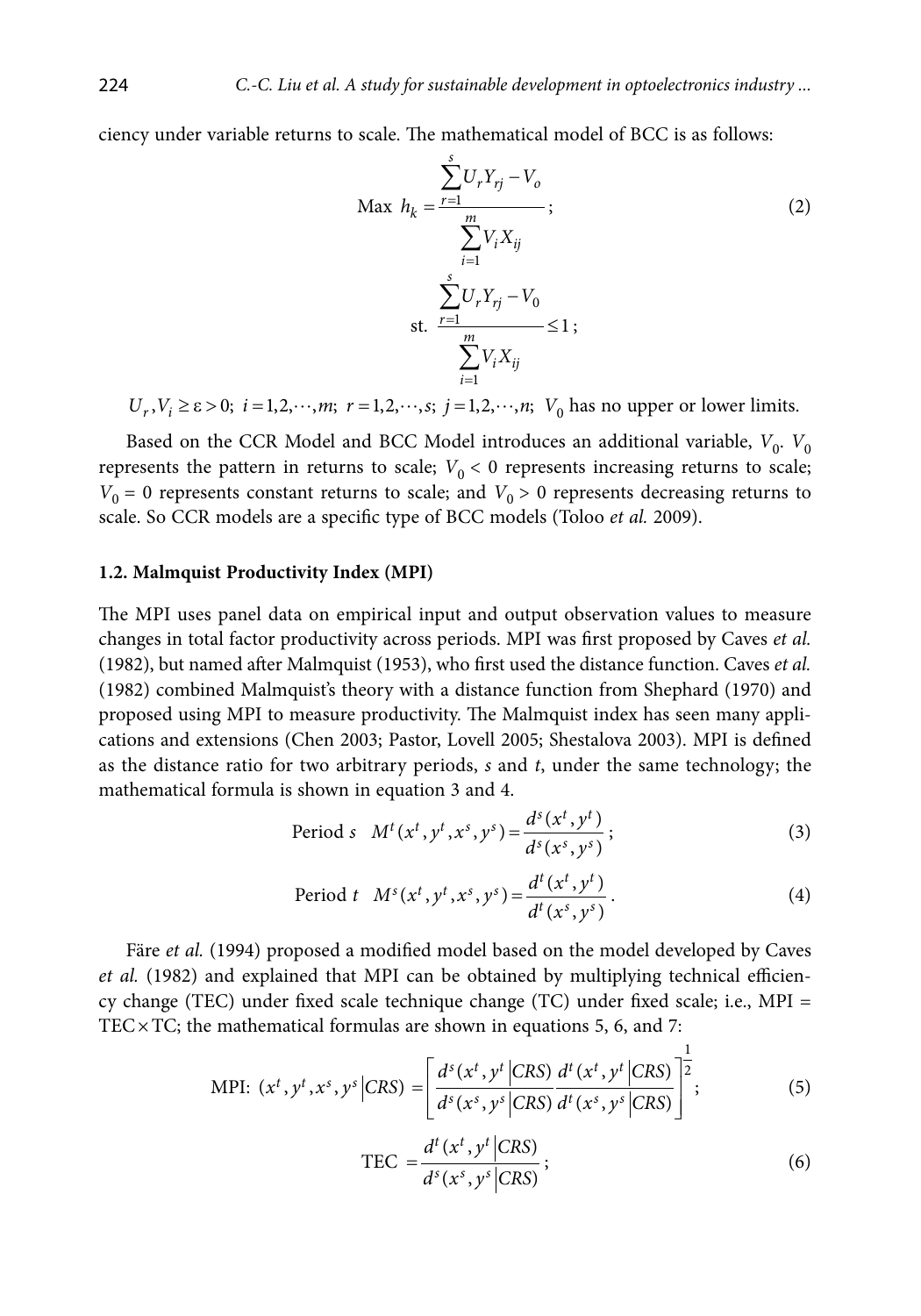ciency under variable returns to scale. The mathematical model of BCC is as follows:

$$
\text{Max } h_k = \frac{\sum_{r=1}^{s} U_r Y_{rj} - V_o}{\sum_{i=1}^{m} V_i X_{ij}}; \n \sum_{r=1}^{s} U_r Y_{rj} - V_o \n \text{st. } \frac{\sum_{i=1}^{m} U_r X_{ij}}{\sum_{i=1}^{m} V_i X_{ij}} \le 1 ;
$$
\n(2)

 $U_r$ ,  $V_i \ge \varepsilon > 0$ ;  $i = 1, 2, \dots, m$ ;  $r = 1, 2, \dots, s$ ;  $j = 1, 2, \dots, n$ ;  $V_0$  has no upper or lower limits.

Based on the CCR Model and BCC Model introduces an additional variable,  $V_0$ .  $V_0$ represents the pattern in returns to scale;  $V_0 < 0$  represents increasing returns to scale;  $V_0 = 0$  represents constant returns to scale; and  $V_0 > 0$  represents decreasing returns to scale. So CCR models are a specific type of BCC models (Toloo *et al.* 2009).

#### **1.2. Malmquist Productivity Index (MPI)**

The MPI uses panel data on empirical input and output observation values to measure changes in total factor productivity across periods. MPI was first proposed by Caves *et al.*  (1982), but named after Malmquist (1953), who first used the distance function. Caves *et al.*  (1982) combined Malmquist's theory with a distance function from Shephard (1970) and proposed using MPI to measure productivity. The Malmquist index has seen many applications and extensions (Chen 2003; Pastor, Lovell 2005; Shestalova 2003). MPI is defined as the distance ratio for two arbitrary periods, *s* and *t*, under the same technology; the mathematical formula is shown in equation 3 and 4.

Period *s* 
$$
M^t(x^t, y^t, x^s, y^s) = \frac{d^s(x^t, y^t)}{d^s(x^s, y^s)}
$$
; (3)

Period *t* 
$$
M^s(x^t, y^t, x^s, y^s) = \frac{d^t(x^t, y^t)}{d^t(x^s, y^s)}
$$
. (4)

Färe et al. (1994) proposed a modified model based on the model developed by Caves *et al.* (1982) and explained that MPI can be obtained by multiplying technical efficiency change (TEC) under fixed scale technique change (TC) under fixed scale; i.e., MPI = TEC $\times$ TC; the mathematical formulas are shown in equations 5, 6, and 7:

$$
\text{MPI: } (x^t, y^t, x^s, y^s \mid CRS) = \left[ \frac{d^s(x^t, y^t \mid CRS)}{d^s(x^s, y^s \mid CRS)} \frac{d^t(x^t, y^t \mid CRS)}{d^t(x^s, y^s \mid CRS)} \right]^{\frac{1}{2}}; \tag{5}
$$

$$
\text{TEC} = \frac{d^t(x^t, y^t | \text{CRS})}{d^s(x^s, y^s | \text{CRS})};\tag{6}
$$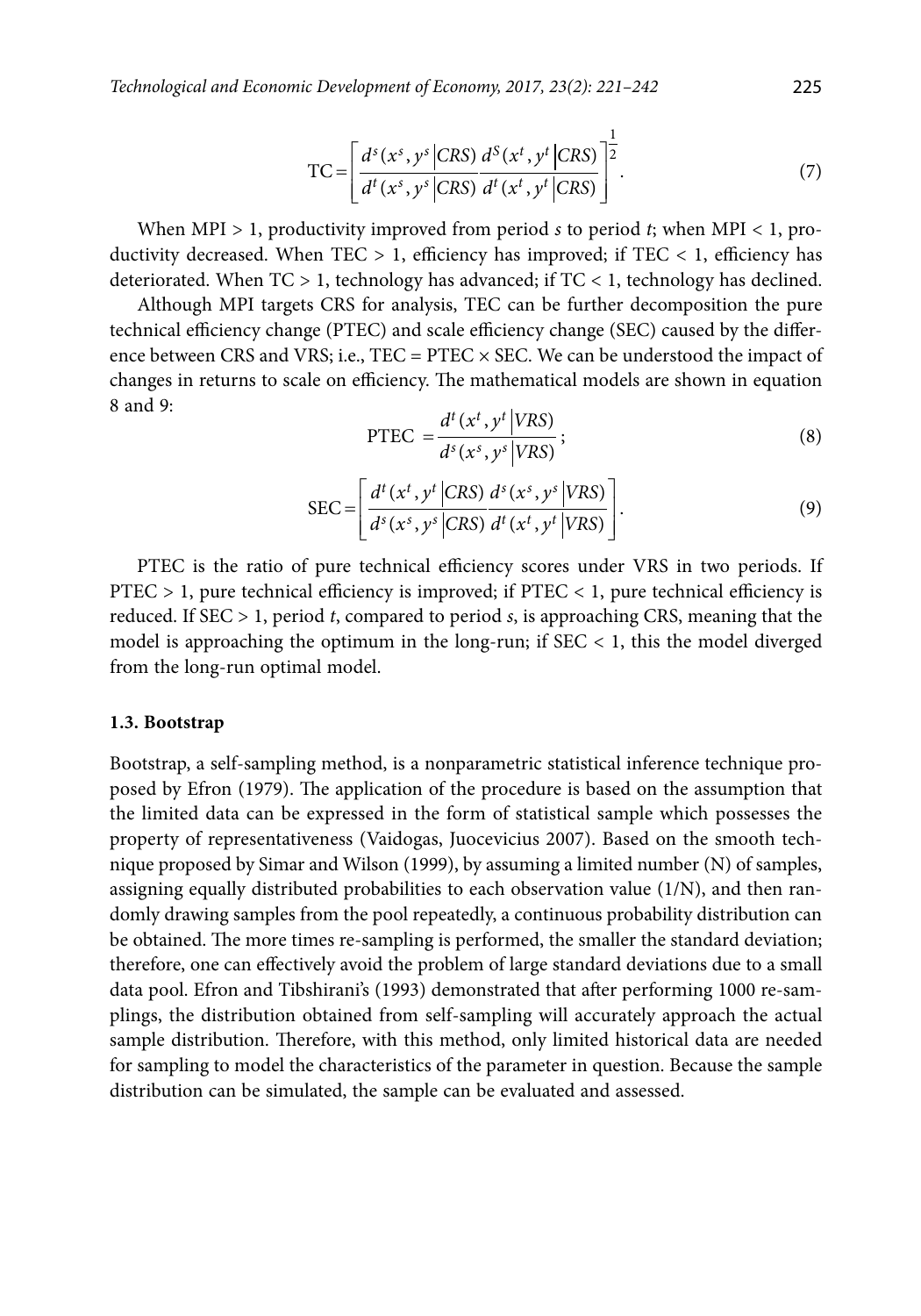$$
TC = \left[ \frac{d^s(x^s, y^s | CRS)}{d^t(x^s, y^s | CRS)} \frac{d^s(x^t, y^t | CRS)}{d^t(x^t, y^t | CRS)} \right]^{1/2}.
$$
 (7)

When MPI > 1, productivity improved from period *s* to period *t*; when MPI < 1, productivity decreased. When  $TEC > 1$ , efficiency has improved; if  $TEC < 1$ , efficiency has deteriorated. When  $TC > 1$ , technology has advanced; if  $TC < 1$ , technology has declined.

Although MPI targets CRS for analysis, TEC can be further decomposition the pure technical efficiency change (PTEC) and scale efficiency change (SEC) caused by the difference between CRS and VRS; i.e.,  $TEC = PTEC \times SEC$ . We can be understood the impact of changes in returns to scale on efficiency. The mathematical models are shown in equation  $8$  and  $9$ 

$$
PTEC = \frac{d^{t}(x^{t}, y^{t} | VRS)}{d^{s}(x^{s}, y^{s} | VRS)};
$$
\n(8)

$$
SEC = \left[ \frac{d^{t}(x^{t}, y^{t} | CRS)}{d^{s}(x^{s}, y^{s} | CRS)} \frac{d^{s}(x^{s}, y^{s} | VRS)}{d^{t}(x^{t}, y^{t} | VRS)} \right].
$$
\n(9)

PTEC is the ratio of pure technical efficiency scores under VRS in two periods. If PTEC > 1, pure technical efficiency is improved; if PTEC < 1, pure technical efficiency is reduced. If SEC > 1, period *t*, compared to period *s*, is approaching CRS, meaning that the model is approaching the optimum in the long-run; if  $SEC < 1$ , this the model diverged from the long-run optimal model.

#### **1.3. Bootstrap**

Bootstrap, a self-sampling method, is a nonparametric statistical inference technique proposed by Efron (1979). The application of the procedure is based on the assumption that the limited data can be expressed in the form of statistical sample which possesses the property of representativeness (Vaidogas, Juocevicius 2007). Based on the smooth technique proposed by Simar and Wilson (1999), by assuming a limited number (N) of samples, assigning equally distributed probabilities to each observation value (1/N), and then randomly drawing samples from the pool repeatedly, a continuous probability distribution can be obtained. The more times re-sampling is performed, the smaller the standard deviation; therefore, one can effectively avoid the problem of large standard deviations due to a small data pool. Efron and Tibshirani's (1993) demonstrated that after performing 1000 re-samplings, the distribution obtained from self-sampling will accurately approach the actual sample distribution. Therefore, with this method, only limited historical data are needed for sampling to model the characteristics of the parameter in question. Because the sample distribution can be simulated, the sample can be evaluated and assessed.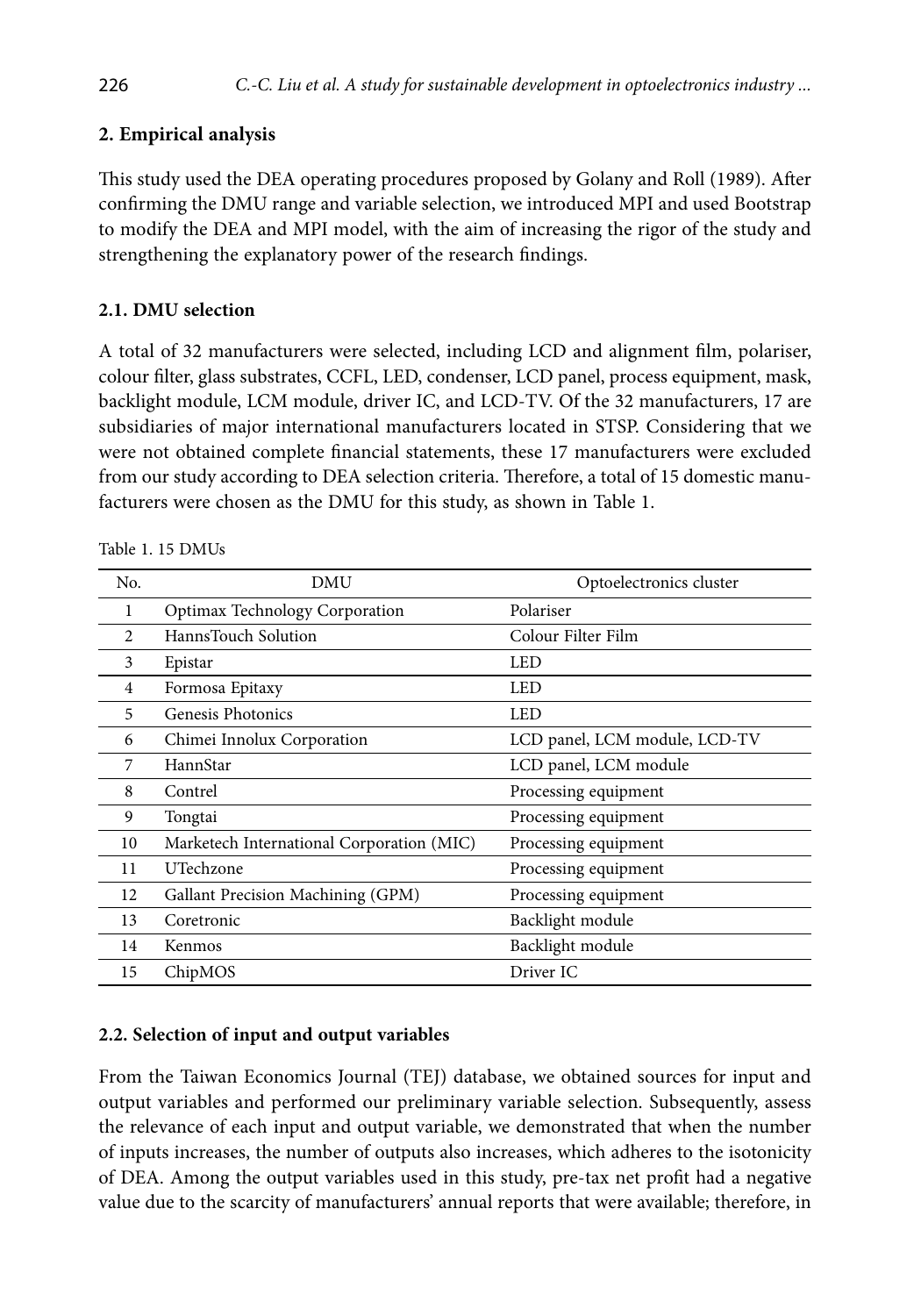# **2. Empirical analysis**

This study used the DEA operating procedures proposed by Golany and Roll (1989). After confirming the DMU range and variable selection, we introduced MPI and used Bootstrap to modify the DEA and MPI model, with the aim of increasing the rigor of the study and strengthening the explanatory power of the research findings.

## **2.1. DMU selection**

A total of 32 manufacturers were selected, including LCD and alignment film, polariser, colour filter, glass substrates, CCFL, LED, condenser, LCD panel, process equipment, mask, backlight module, LCM module, driver IC, and LCD-TV. Of the 32 manufacturers, 17 are subsidiaries of major international manufacturers located in STSP. Considering that we were not obtained complete financial statements, these 17 manufacturers were excluded from our study according to DEA selection criteria. Therefore, a total of 15 domestic manufacturers were chosen as the DMU for this study, as shown in Table 1.

| No.            | <b>DMU</b>                                | Optoelectronics cluster       |
|----------------|-------------------------------------------|-------------------------------|
| 1              | Optimax Technology Corporation            | Polariser                     |
| $\mathfrak{D}$ | HannsTouch Solution                       | Colour Filter Film            |
| 3              | Epistar                                   | <b>LED</b>                    |
| 4              | Formosa Epitaxy                           | <b>LED</b>                    |
| 5              | Genesis Photonics                         | LED                           |
| 6              | Chimei Innolux Corporation                | LCD panel, LCM module, LCD-TV |
| 7              | HannStar                                  | LCD panel, LCM module         |
| 8              | Contrel                                   | Processing equipment          |
| 9              | Tongtai                                   | Processing equipment          |
| 10             | Marketech International Corporation (MIC) | Processing equipment          |
| 11             | UTechzone                                 | Processing equipment          |
| 12             | Gallant Precision Machining (GPM)         | Processing equipment          |
| 13             | Coretronic                                | Backlight module              |
| 14             | Kenmos                                    | Backlight module              |
| 15             | ChipMOS                                   | Driver IC                     |

Table 1. 15 DMUs

# **2.2. Selection of input and output variables**

From the Taiwan Economics Journal (TEJ) database, we obtained sources for input and output variables and performed our preliminary variable selection. Subsequently, assess the relevance of each input and output variable, we demonstrated that when the number of inputs increases, the number of outputs also increases, which adheres to the isotonicity of DEA. Among the output variables used in this study, pre-tax net profit had a negative value due to the scarcity of manufacturers' annual reports that were available; therefore, in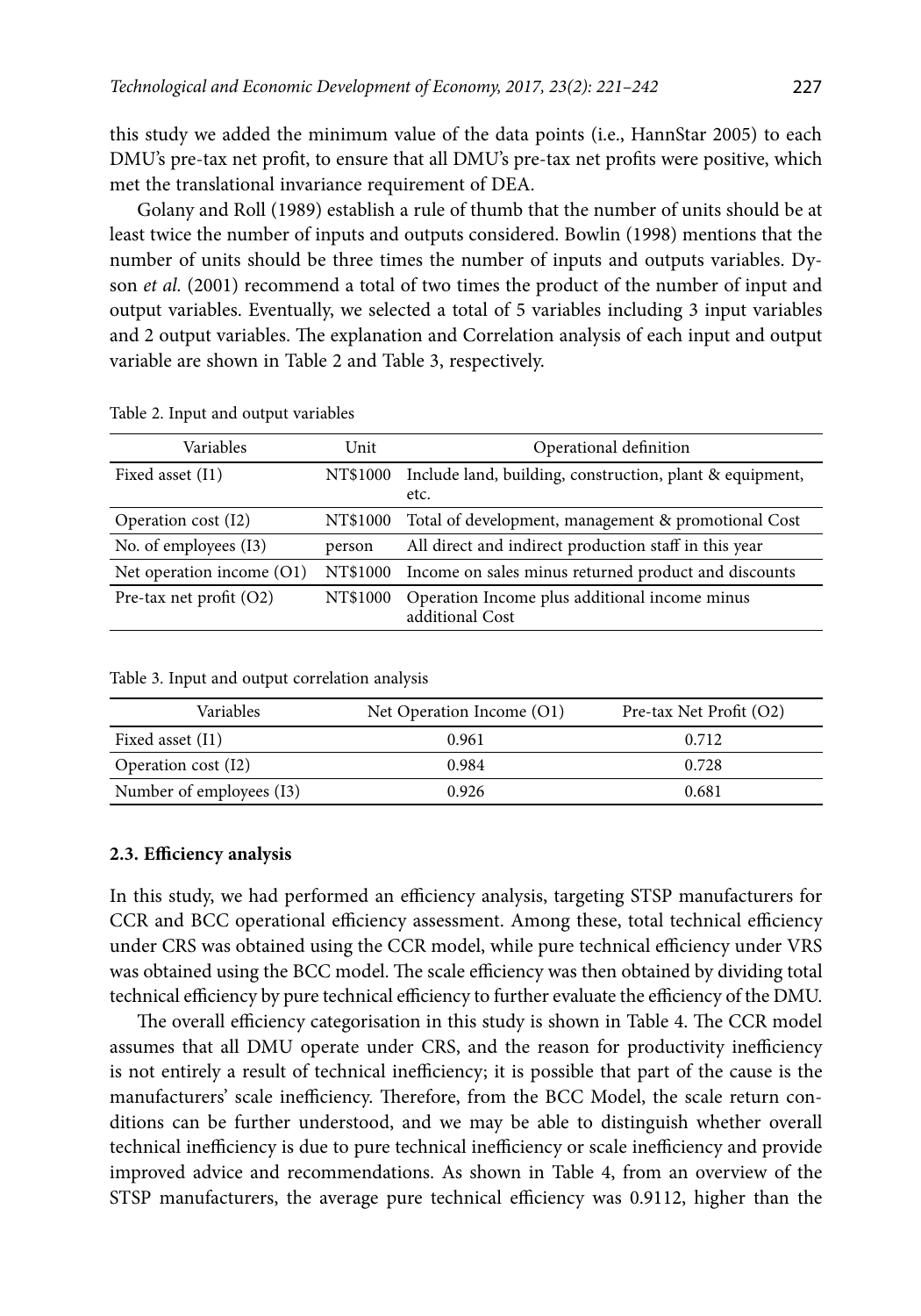this study we added the minimum value of the data points (i.e., HannStar 2005) to each DMU's pre-tax net profit, to ensure that all DMU's pre-tax net profits were positive, which met the translational invariance requirement of DEA.

Golany and Roll (1989) establish a rule of thumb that the number of units should be at least twice the number of inputs and outputs considered. Bowlin (1998) mentions that the number of units should be three times the number of inputs and outputs variables. Dyson *et al.* (2001) recommend a total of two times the product of the number of input and output variables. Eventually, we selected a total of 5 variables including 3 input variables and 2 output variables. The explanation and Correlation analysis of each input and output variable are shown in Table 2 and Table 3, respectively.

| Variables                   | Unit     | Operational definition                                           |
|-----------------------------|----------|------------------------------------------------------------------|
| Fixed asset (I1)            | NT\$1000 | Include land, building, construction, plant & equipment,<br>etc. |
| Operation cost (I2)         | NT\$1000 | Total of development, management & promotional Cost              |
| No. of employees (13)       | person   | All direct and indirect production staff in this year            |
| Net operation income $(01)$ | NT\$1000 | Income on sales minus returned product and discounts             |
| Pre-tax net profit $(O2)$   | NT\$1000 | Operation Income plus additional income minus<br>additional Cost |

Table 2. Input and output variables

| Variables                | Net Operation Income (O1) | Pre-tax Net Profit (O2) |  |  |
|--------------------------|---------------------------|-------------------------|--|--|
| Fixed asset (I1)         | 0.961                     | 0.712                   |  |  |
| Operation cost (I2)      | 0.984                     | 0.728                   |  |  |
| Number of employees (13) | 0.926                     | 0.681                   |  |  |

#### **2.3. Efficiency analysis**

In this study, we had performed an efficiency analysis, targeting STSP manufacturers for CCR and BCC operational efficiency assessment. Among these, total technical efficiency under CRS was obtained using the CCR model, while pure technical efficiency under VRS was obtained using the BCC model. The scale efficiency was then obtained by dividing total technical efficiency by pure technical efficiency to further evaluate the efficiency of the DMU.

The overall efficiency categorisation in this study is shown in Table 4. The CCR model assumes that all DMU operate under CRS, and the reason for productivity inefficiency is not entirely a result of technical inefficiency; it is possible that part of the cause is the manufacturers' scale inefficiency. Therefore, from the BCC Model, the scale return conditions can be further understood, and we may be able to distinguish whether overall technical inefficiency is due to pure technical inefficiency or scale inefficiency and provide improved advice and recommendations. As shown in Table 4, from an overview of the STSP manufacturers, the average pure technical efficiency was 0.9112, higher than the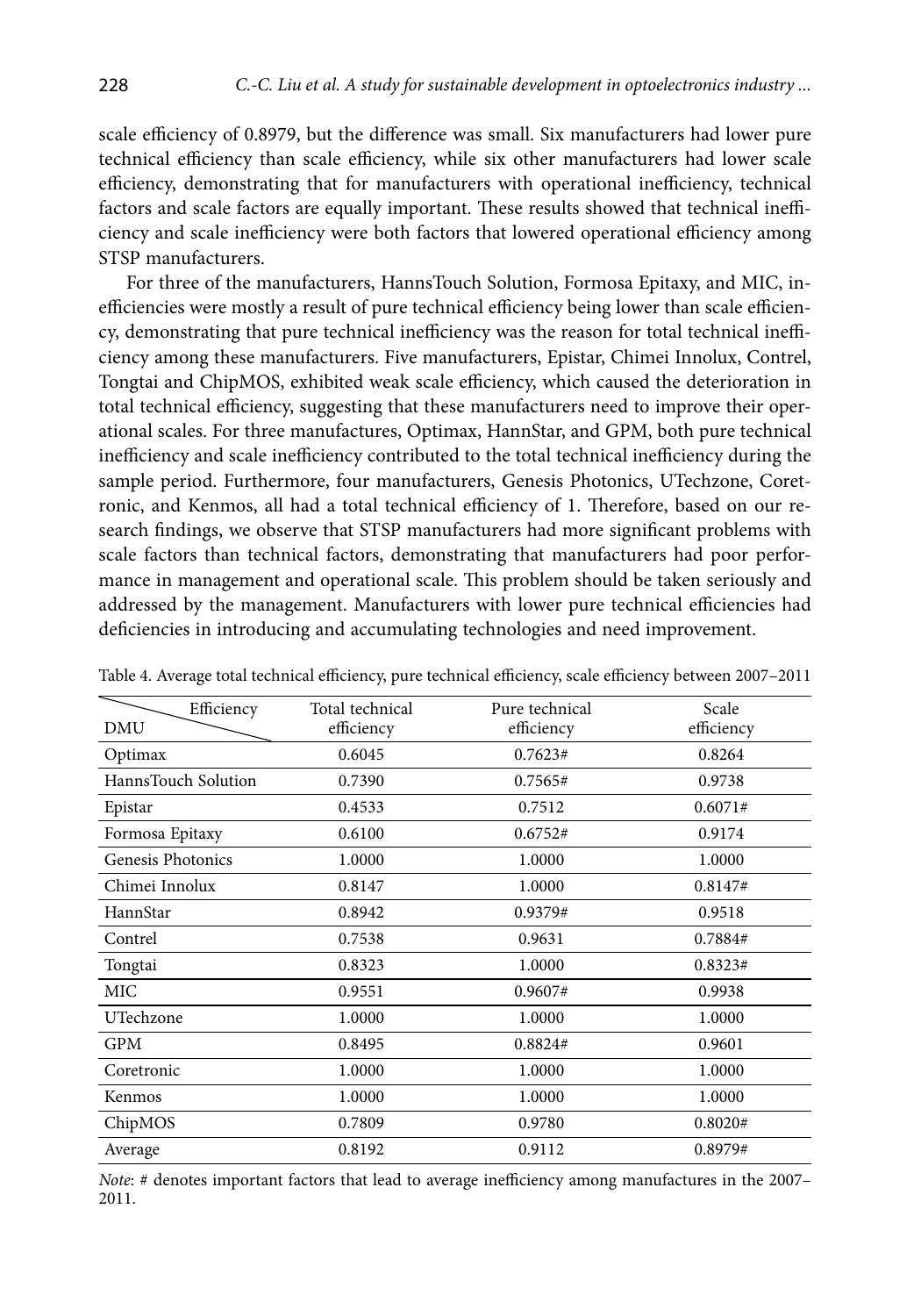scale efficiency of 0.8979, but the difference was small. Six manufacturers had lower pure technical efficiency than scale efficiency, while six other manufacturers had lower scale efficiency, demonstrating that for manufacturers with operational inefficiency, technical factors and scale factors are equally important. These results showed that technical inefficiency and scale inefficiency were both factors that lowered operational efficiency among STSP manufacturers.

For three of the manufacturers, HannsTouch Solution, Formosa Epitaxy, and MIC, inefficiencies were mostly a result of pure technical efficiency being lower than scale efficiency, demonstrating that pure technical inefficiency was the reason for total technical inefficiency among these manufacturers. Five manufacturers, Epistar, Chimei Innolux, Contrel, Tongtai and ChipMOS, exhibited weak scale efficiency, which caused the deterioration in total technical efficiency, suggesting that these manufacturers need to improve their operational scales. For three manufactures, Optimax, HannStar, and GPM, both pure technical inefficiency and scale inefficiency contributed to the total technical inefficiency during the sample period. Furthermore, four manufacturers, Genesis Photonics, UTechzone, Coretronic, and Kenmos, all had a total technical efficiency of 1. Therefore, based on our research findings, we observe that STSP manufacturers had more significant problems with scale factors than technical factors, demonstrating that manufacturers had poor performance in management and operational scale. This problem should be taken seriously and addressed by the management. Manufacturers with lower pure technical efficiencies had deficiencies in introducing and accumulating technologies and need improvement.

| Efficiency<br>DMU   | Total technical<br>efficiency | Pure technical<br>efficiency | Scale<br>efficiency |
|---------------------|-------------------------------|------------------------------|---------------------|
| Optimax             | 0.6045                        | 0.7623#                      | 0.8264              |
| HannsTouch Solution | 0.7390                        | 0.7565#                      | 0.9738              |
| Epistar             | 0.4533                        | 0.7512                       | 0.6071#             |
| Formosa Epitaxy     | 0.6100                        | 0.6752#                      | 0.9174              |
| Genesis Photonics   | 1.0000                        | 1.0000                       | 1.0000              |
| Chimei Innolux      | 0.8147                        | 1.0000                       | 0.8147#             |
| HannStar            | 0.8942                        | 0.9379#                      | 0.9518              |
| Contrel             | 0.7538                        | 0.9631                       | 0.7884#             |
| Tongtai             | 0.8323                        | 1.0000                       | 0.8323#             |
| MIC                 | 0.9551                        | 0.9607#                      | 0.9938              |
| UTechzone           | 1.0000                        | 1.0000                       | 1.0000              |
| GPM                 | 0.8495                        | 0.8824#                      | 0.9601              |
| Coretronic          | 1.0000                        | 1.0000                       | 1.0000              |
| Kenmos              | 1.0000                        | 1.0000                       | 1.0000              |
| ChipMOS             | 0.7809                        | 0.9780                       | 0.8020#             |
| Average             | 0.8192                        | 0.9112                       | 0.8979#             |

Table 4. Average total technical efficiency, pure technical efficiency, scale efficiency between 2007–2011

*Note*: # denotes important factors that lead to average inefficiency among manufactures in the 2007– 2011.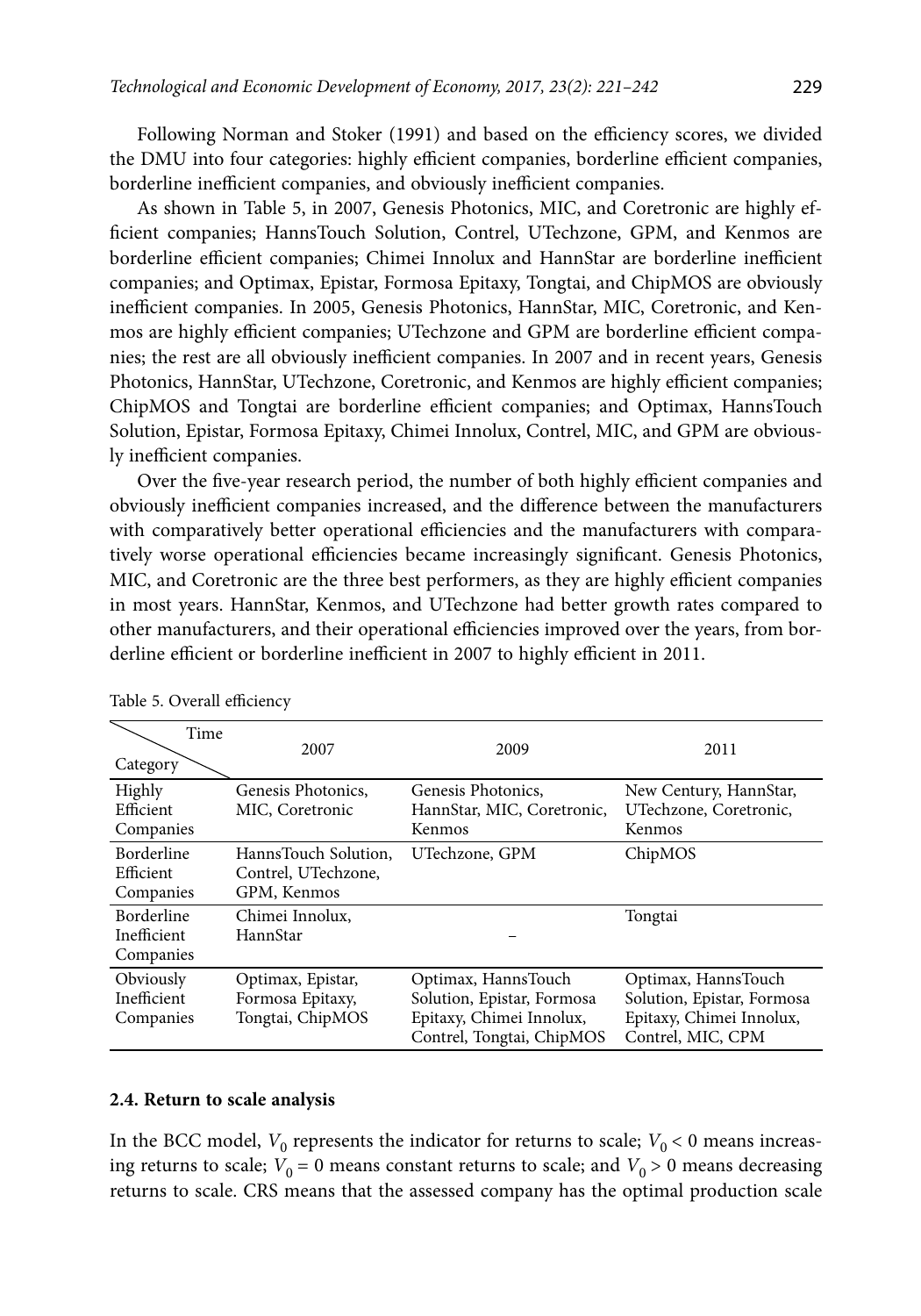Following Norman and Stoker (1991) and based on the efficiency scores, we divided the DMU into four categories: highly efficient companies, borderline efficient companies, borderline inefficient companies, and obviously inefficient companies.

As shown in Table 5, in 2007, Genesis Photonics, MIC, and Coretronic are highly efficient companies; HannsTouch Solution, Contrel, UTechzone, GPM, and Kenmos are borderline efficient companies; Chimei Innolux and HannStar are borderline inefficient companies; and Optimax, Epistar, Formosa Epitaxy, Tongtai, and ChipMOS are obviously inefficient companies. In 2005, Genesis Photonics, HannStar, MIC, Coretronic, and Kenmos are highly efficient companies; UTechzone and GPM are borderline efficient companies; the rest are all obviously inefficient companies. In 2007 and in recent years, Genesis Photonics, HannStar, UTechzone, Coretronic, and Kenmos are highly efficient companies; ChipMOS and Tongtai are borderline efficient companies; and Optimax, HannsTouch Solution, Epistar, Formosa Epitaxy, Chimei Innolux, Contrel, MIC, and GPM are obviously inefficient companies.

Over the five-year research period, the number of both highly efficient companies and obviously inefficient companies increased, and the difference between the manufacturers with comparatively better operational efficiencies and the manufacturers with comparatively worse operational efficiencies became increasingly significant. Genesis Photonics, MIC, and Coretronic are the three best performers, as they are highly efficient companies in most years. HannStar, Kenmos, and UTechzone had better growth rates compared to other manufacturers, and their operational efficiencies improved over the years, from borderline efficient or borderline inefficient in 2007 to highly efficient in 2011.

| Time<br>Category                              | 2007                                                       | 2009                                                                                                       | 2011                                                                                               |
|-----------------------------------------------|------------------------------------------------------------|------------------------------------------------------------------------------------------------------------|----------------------------------------------------------------------------------------------------|
| Highly<br>Efficient<br>Companies              | Genesis Photonics.<br>MIC, Coretronic                      | Genesis Photonics.<br>HannStar, MIC, Coretronic,<br>Kenmos                                                 | New Century, HannStar,<br>UTechzone, Coretronic,<br>Kenmos                                         |
| <b>Borderline</b><br>Efficient<br>Companies   | HannsTouch Solution.<br>Contrel, UTechzone,<br>GPM, Kenmos | UTechzone, GPM                                                                                             | ChipMOS                                                                                            |
| <b>Borderline</b><br>Inefficient<br>Companies | Chimei Innolux,<br>HannStar                                |                                                                                                            | Tongtai                                                                                            |
| Obviously<br>Inefficient<br>Companies         | Optimax, Epistar,<br>Formosa Epitaxy,<br>Tongtai, ChipMOS  | Optimax, HannsTouch<br>Solution, Epistar, Formosa<br>Epitaxy, Chimei Innolux,<br>Contrel, Tongtai, ChipMOS | Optimax, HannsTouch<br>Solution, Epistar, Formosa<br>Epitaxy, Chimei Innolux,<br>Contrel, MIC, CPM |

Table 5. Overall efficiency

#### **2.4. Return to scale analysis**

In the BCC model,  $V_0$  represents the indicator for returns to scale;  $V_0 < 0$  means increasing returns to scale;  $V_0 = 0$  means constant returns to scale; and  $V_0 > 0$  means decreasing returns to scale. CRS means that the assessed company has the optimal production scale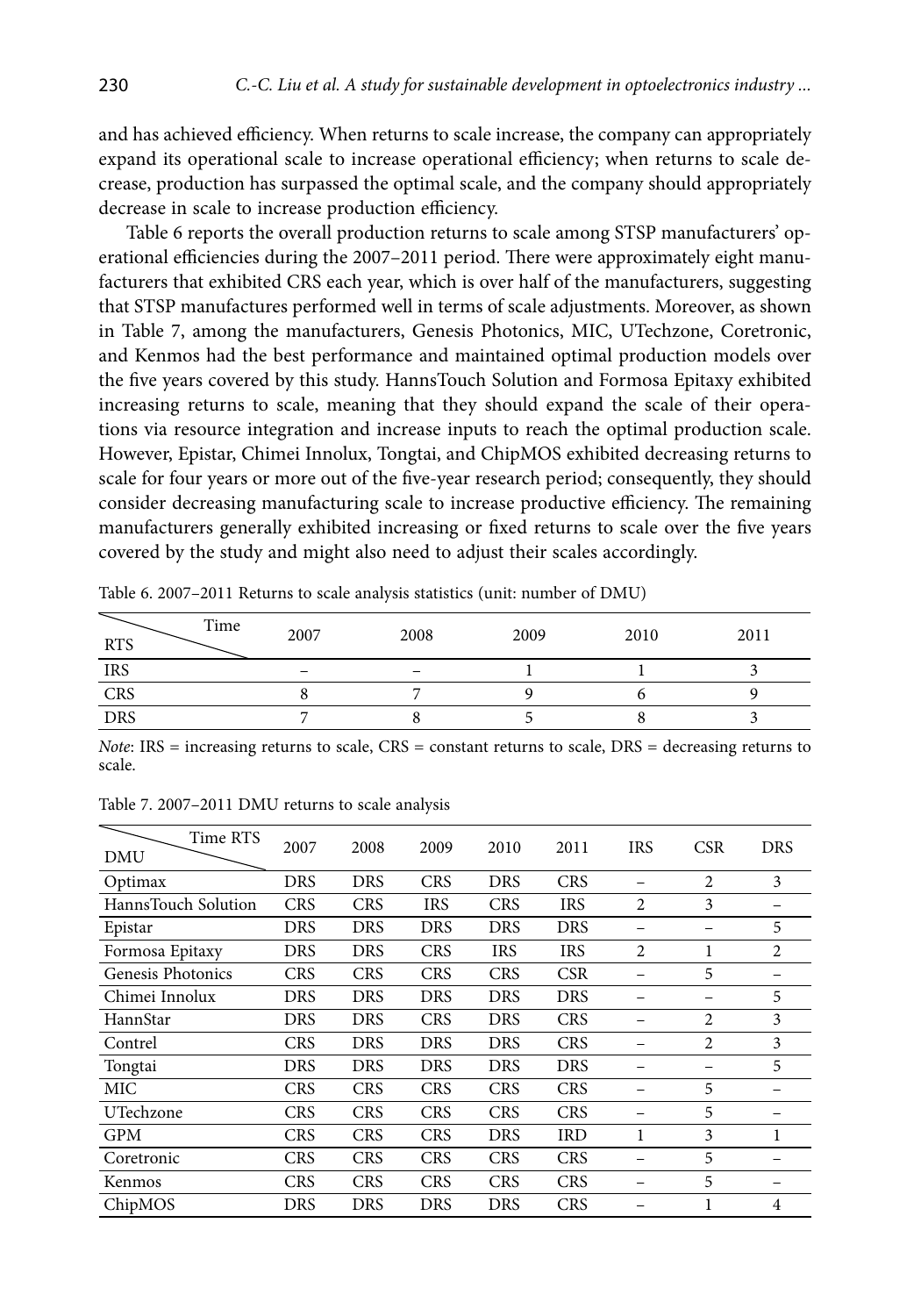and has achieved efficiency. When returns to scale increase, the company can appropriately expand its operational scale to increase operational efficiency; when returns to scale decrease, production has surpassed the optimal scale, and the company should appropriately decrease in scale to increase production efficiency.

Table 6 reports the overall production returns to scale among STSP manufacturers' operational efficiencies during the 2007–2011 period. There were approximately eight manufacturers that exhibited CRS each year, which is over half of the manufacturers, suggesting that STSP manufactures performed well in terms of scale adjustments. Moreover, as shown in Table 7, among the manufacturers, Genesis Photonics, MIC, UTechzone, Coretronic, and Kenmos had the best performance and maintained optimal production models over the five years covered by this study. HannsTouch Solution and Formosa Epitaxy exhibited increasing returns to scale, meaning that they should expand the scale of their operations via resource integration and increase inputs to reach the optimal production scale. However, Epistar, Chimei Innolux, Tongtai, and ChipMOS exhibited decreasing returns to scale for four years or more out of the five-year research period; consequently, they should consider decreasing manufacturing scale to increase productive efficiency. The remaining manufacturers generally exhibited increasing or fixed returns to scale over the five years covered by the study and might also need to adjust their scales accordingly.

| Time<br><b>RTS</b> | 2007 | 2008 | 2009 | 2010 | 2011 |
|--------------------|------|------|------|------|------|
| <b>IRS</b>         |      | _    |      |      |      |
| CRS                |      |      |      |      |      |
| <b>DRS</b>         |      |      |      |      |      |

Table 6. 2007–2011 Returns to scale analysis statistics (unit: number of DMU)

*Note*: IRS = increasing returns to scale, CRS = constant returns to scale, DRS = decreasing returns to scale.

| Time RTS<br>DMU     | 2007       | 2008       | 2009       | 2010       | 2011       | <b>IRS</b> | CSR | DRS            |
|---------------------|------------|------------|------------|------------|------------|------------|-----|----------------|
| Optimax             | DRS        | DRS        | <b>CRS</b> | DRS        | <b>CRS</b> |            | 2   | 3              |
| HannsTouch Solution | <b>CRS</b> | <b>CRS</b> | <b>IRS</b> | <b>CRS</b> | <b>IRS</b> | 2          | 3   |                |
| Epistar             | DRS        | DRS        | DRS        | DRS        | DRS        |            |     | 5              |
| Formosa Epitaxy     | DRS        | DRS        | <b>CRS</b> | <b>IRS</b> | <b>IRS</b> | 2          | 1   | 2              |
| Genesis Photonics   | <b>CRS</b> | <b>CRS</b> | <b>CRS</b> | <b>CRS</b> | <b>CSR</b> |            | 5   |                |
| Chimei Innolux      | DRS        | DRS        | DRS        | DRS        | DRS        |            |     | 5              |
| HannStar            | DRS        | DRS        | <b>CRS</b> | DRS        | <b>CRS</b> |            | 2   | 3              |
| Contrel             | CRS        | DRS        | DRS        | DRS        | <b>CRS</b> |            | 2   | 3              |
| Tongtai             | DRS        | DRS        | DRS        | DRS        | DRS        |            |     | 5              |
| MIC                 | <b>CRS</b> | <b>CRS</b> | <b>CRS</b> | <b>CRS</b> | <b>CRS</b> |            | 5   |                |
| UTechzone           | <b>CRS</b> | <b>CRS</b> | <b>CRS</b> | <b>CRS</b> | <b>CRS</b> |            | 5   |                |
| <b>GPM</b>          | <b>CRS</b> | <b>CRS</b> | <b>CRS</b> | DRS        | <b>IRD</b> | 1          | 3   |                |
| Coretronic          | <b>CRS</b> | <b>CRS</b> | <b>CRS</b> | <b>CRS</b> | <b>CRS</b> |            | 5   |                |
| Kenmos              | <b>CRS</b> | <b>CRS</b> | <b>CRS</b> | <b>CRS</b> | <b>CRS</b> |            | 5   |                |
| ChipMOS             | DRS        | DRS        | DRS        | DRS        | <b>CRS</b> |            | 1   | $\overline{4}$ |

Table 7. 2007–2011 DMU returns to scale analysis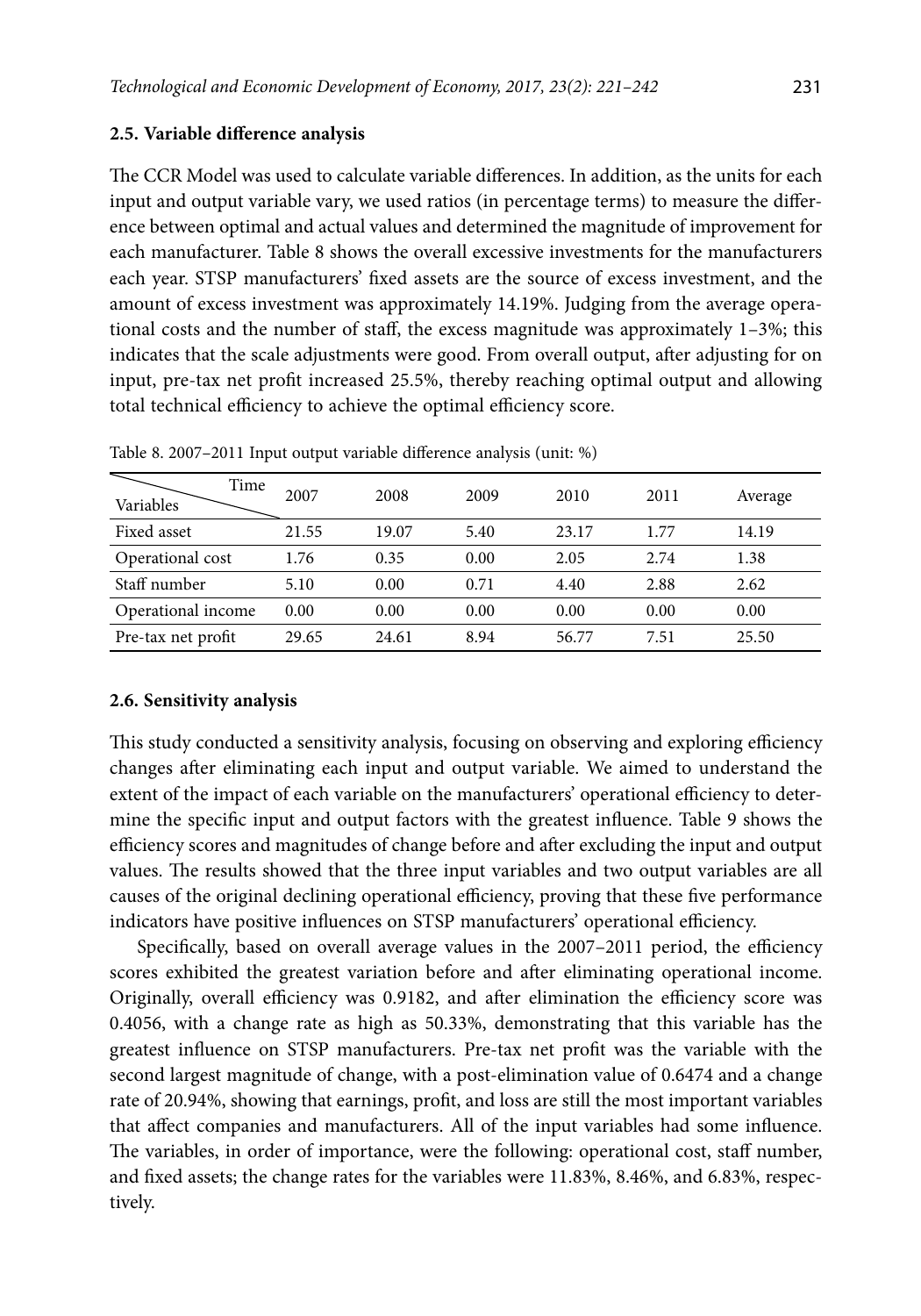## **2.5. Variable difference analysis**

The CCR Model was used to calculate variable differences. In addition, as the units for each input and output variable vary, we used ratios (in percentage terms) to measure the difference between optimal and actual values and determined the magnitude of improvement for each manufacturer. Table 8 shows the overall excessive investments for the manufacturers each year. STSP manufacturers' fixed assets are the source of excess investment, and the amount of excess investment was approximately 14.19%. Judging from the average operational costs and the number of staff, the excess magnitude was approximately 1–3%; this indicates that the scale adjustments were good. From overall output, after adjusting for on input, pre-tax net profit increased 25.5%, thereby reaching optimal output and allowing total technical efficiency to achieve the optimal efficiency score.

| Time<br>Variables  | 2007  | 2008  | 2009 | 2010  | 2011 | Average |
|--------------------|-------|-------|------|-------|------|---------|
| Fixed asset        | 21.55 | 19.07 | 5.40 | 23.17 | 1.77 | 14.19   |
| Operational cost   | 1.76  | 0.35  | 0.00 | 2.05  | 2.74 | 1.38    |
| Staff number       | 5.10  | 0.00  | 0.71 | 4.40  | 2.88 | 2.62    |
| Operational income | 0.00  | 0.00  | 0.00 | 0.00  | 0.00 | 0.00    |
| Pre-tax net profit | 29.65 | 24.61 | 8.94 | 56.77 | 7.51 | 25.50   |

Table 8. 2007–2011 Input output variable difference analysis (unit: %)

#### **2.6. Sensitivity analysis**

This study conducted a sensitivity analysis, focusing on observing and exploring efficiency changes after eliminating each input and output variable. We aimed to understand the extent of the impact of each variable on the manufacturers' operational efficiency to determine the specific input and output factors with the greatest influence. Table 9 shows the efficiency scores and magnitudes of change before and after excluding the input and output values. The results showed that the three input variables and two output variables are all causes of the original declining operational efficiency, proving that these five performance indicators have positive influences on STSP manufacturers' operational efficiency.

Specifically, based on overall average values in the 2007–2011 period, the efficiency scores exhibited the greatest variation before and after eliminating operational income. Originally, overall efficiency was 0.9182, and after elimination the efficiency score was 0.4056, with a change rate as high as 50.33%, demonstrating that this variable has the greatest influence on STSP manufacturers. Pre-tax net profit was the variable with the second largest magnitude of change, with a post-elimination value of 0.6474 and a change rate of 20.94%, showing that earnings, profit, and loss are still the most important variables that affect companies and manufacturers. All of the input variables had some influence. The variables, in order of importance, were the following: operational cost, staff number, and fixed assets; the change rates for the variables were 11.83%, 8.46%, and 6.83%, respectively.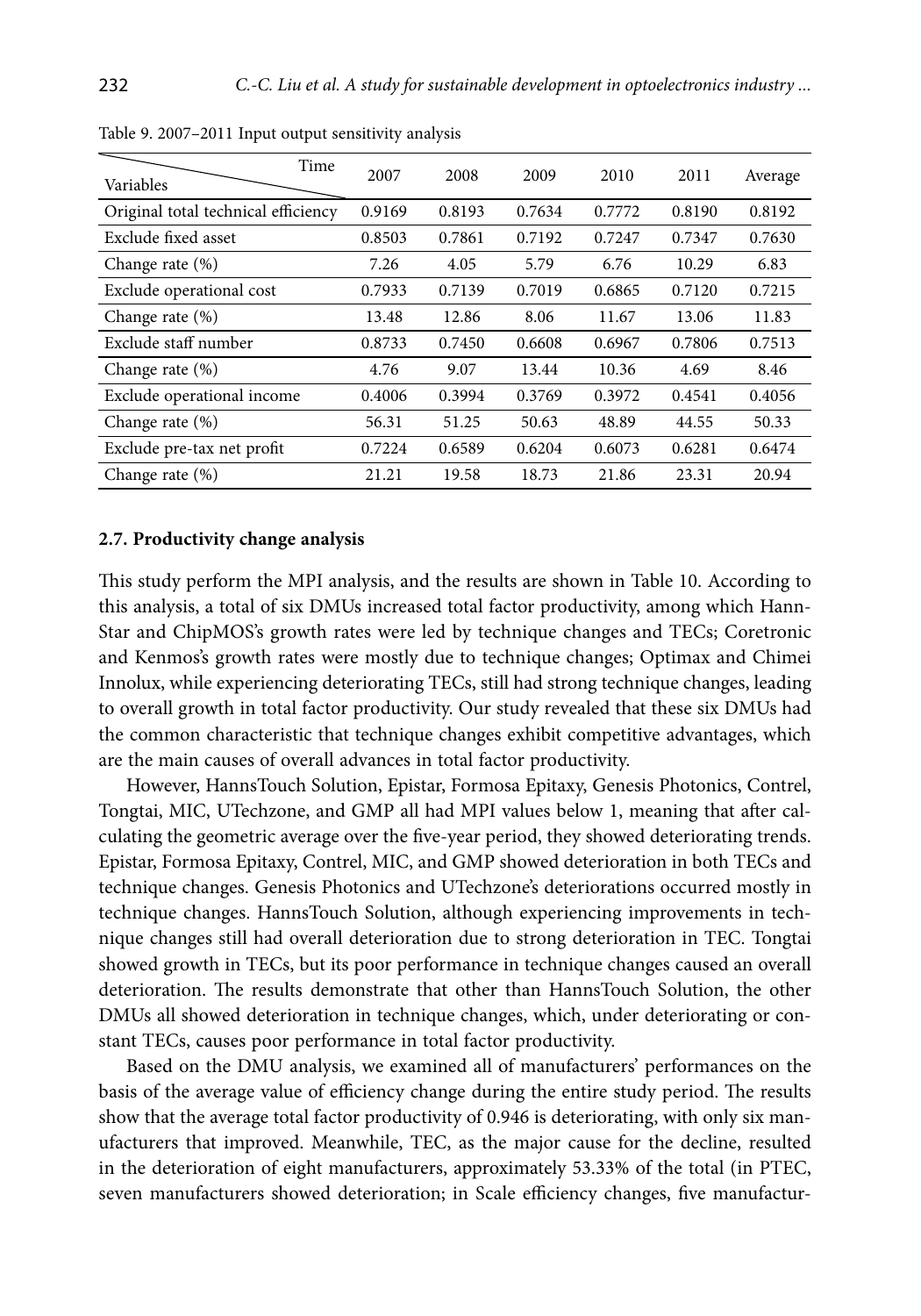| Time<br>Variables                   | 2007   | 2008   | 2009   | 2010   | 2011   | Average |
|-------------------------------------|--------|--------|--------|--------|--------|---------|
| Original total technical efficiency | 0.9169 | 0.8193 | 0.7634 | 0.7772 | 0.8190 | 0.8192  |
| Exclude fixed asset                 | 0.8503 | 0.7861 | 0.7192 | 0.7247 | 0.7347 | 0.7630  |
| Change rate (%)                     | 7.26   | 4.05   | 5.79   | 6.76   | 10.29  | 6.83    |
| Exclude operational cost            | 0.7933 | 0.7139 | 0.7019 | 0.6865 | 0.7120 | 0.7215  |
| Change rate $(\%)$                  | 13.48  | 12.86  | 8.06   | 11.67  | 13.06  | 11.83   |
| Exclude staff number                | 0.8733 | 0.7450 | 0.6608 | 0.6967 | 0.7806 | 0.7513  |
| Change rate (%)                     | 4.76   | 9.07   | 13.44  | 10.36  | 4.69   | 8.46    |
| Exclude operational income          | 0.4006 | 0.3994 | 0.3769 | 0.3972 | 0.4541 | 0.4056  |
| Change rate (%)                     | 56.31  | 51.25  | 50.63  | 48.89  | 44.55  | 50.33   |
| Exclude pre-tax net profit          | 0.7224 | 0.6589 | 0.6204 | 0.6073 | 0.6281 | 0.6474  |
| Change rate $(\%)$                  | 21.21  | 19.58  | 18.73  | 21.86  | 23.31  | 20.94   |

Table 9. 2007–2011 Input output sensitivity analysis

## **2.7. Productivity change analysis**

This study perform the MPI analysis, and the results are shown in Table 10. According to this analysis, a total of six DMUs increased total factor productivity, among which Hann-Star and ChipMOS's growth rates were led by technique changes and TECs; Coretronic and Kenmos's growth rates were mostly due to technique changes; Optimax and Chimei Innolux, while experiencing deteriorating TECs, still had strong technique changes, leading to overall growth in total factor productivity. Our study revealed that these six DMUs had the common characteristic that technique changes exhibit competitive advantages, which are the main causes of overall advances in total factor productivity.

However, HannsTouch Solution, Epistar, Formosa Epitaxy, Genesis Photonics, Contrel, Tongtai, MIC, UTechzone, and GMP all had MPI values below 1, meaning that after calculating the geometric average over the five-year period, they showed deteriorating trends. Epistar, Formosa Epitaxy, Contrel, MIC, and GMP showed deterioration in both TECs and technique changes. Genesis Photonics and UTechzone's deteriorations occurred mostly in technique changes. HannsTouch Solution, although experiencing improvements in technique changes still had overall deterioration due to strong deterioration in TEC. Tongtai showed growth in TECs, but its poor performance in technique changes caused an overall deterioration. The results demonstrate that other than HannsTouch Solution, the other DMUs all showed deterioration in technique changes, which, under deteriorating or constant TECs, causes poor performance in total factor productivity.

Based on the DMU analysis, we examined all of manufacturers' performances on the basis of the average value of efficiency change during the entire study period. The results show that the average total factor productivity of 0.946 is deteriorating, with only six manufacturers that improved. Meanwhile, TEC, as the major cause for the decline, resulted in the deterioration of eight manufacturers, approximately 53.33% of the total (in PTEC, seven manufacturers showed deterioration; in Scale efficiency changes, five manufactur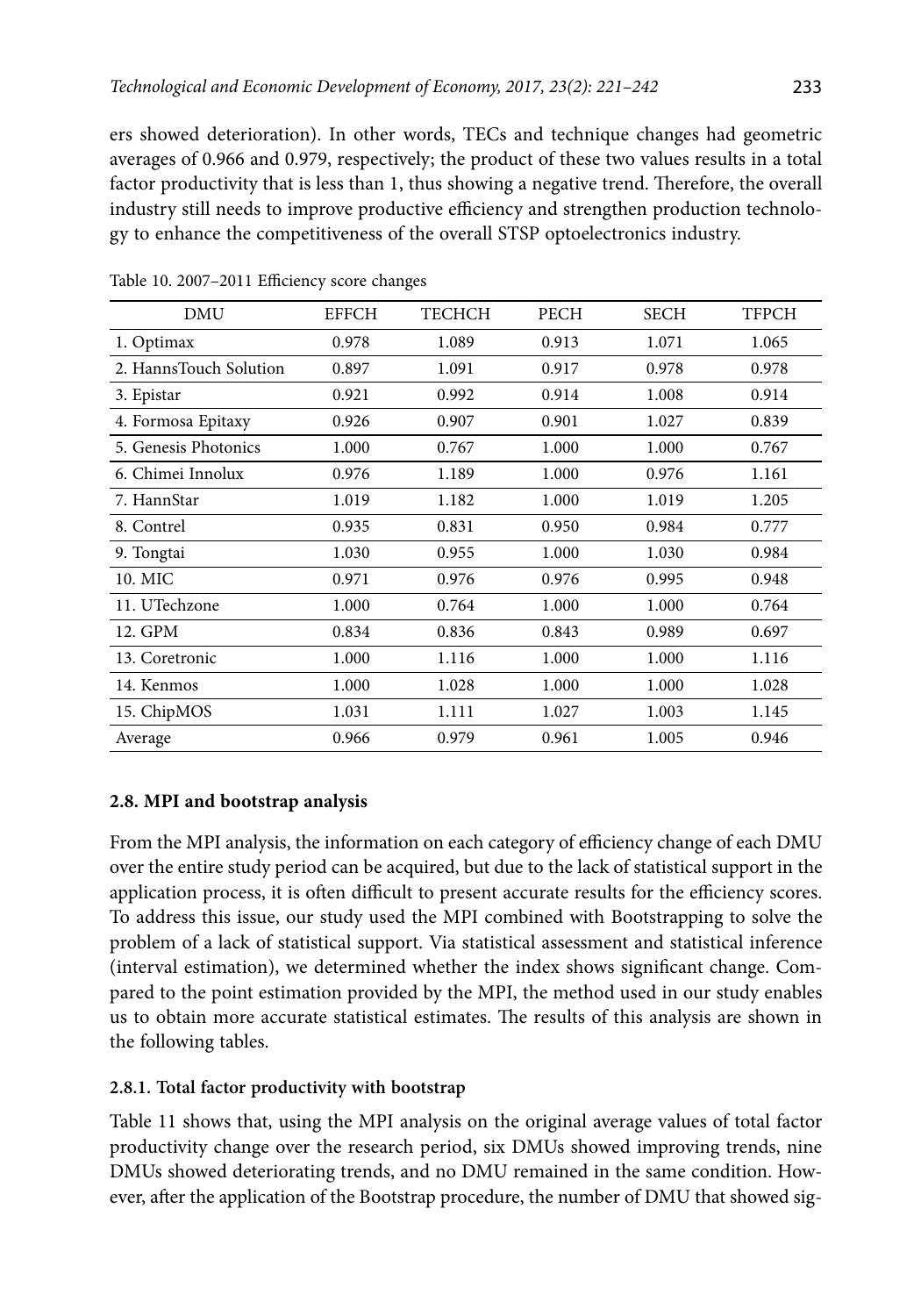ers showed deterioration). In other words, TECs and technique changes had geometric averages of 0.966 and 0.979, respectively; the product of these two values results in a total factor productivity that is less than 1, thus showing a negative trend. Therefore, the overall industry still needs to improve productive efficiency and strengthen production technology to enhance the competitiveness of the overall STSP optoelectronics industry.

| <b>DMU</b>             | <b>EFFCH</b> | TECHCH | <b>PECH</b> | <b>SECH</b> | <b>TFPCH</b> |
|------------------------|--------------|--------|-------------|-------------|--------------|
| 1. Optimax             | 0.978        | 1.089  | 0.913       | 1.071       | 1.065        |
| 2. HannsTouch Solution | 0.897        | 1.091  | 0.917       | 0.978       | 0.978        |
| 3. Epistar             | 0.921        | 0.992  | 0.914       | 1.008       | 0.914        |
| 4. Formosa Epitaxy     | 0.926        | 0.907  | 0.901       | 1.027       | 0.839        |
| 5. Genesis Photonics   | 1.000        | 0.767  | 1.000       | 1.000       | 0.767        |
| 6. Chimei Innolux      | 0.976        | 1.189  | 1.000       | 0.976       | 1.161        |
| 7. HannStar            | 1.019        | 1.182  | 1.000       | 1.019       | 1.205        |
| 8. Contrel             | 0.935        | 0.831  | 0.950       | 0.984       | 0.777        |
| 9. Tongtai             | 1.030        | 0.955  | 1.000       | 1.030       | 0.984        |
| 10. MIC                | 0.971        | 0.976  | 0.976       | 0.995       | 0.948        |
| 11. UTechzone          | 1.000        | 0.764  | 1.000       | 1.000       | 0.764        |
| 12. GPM                | 0.834        | 0.836  | 0.843       | 0.989       | 0.697        |
| 13. Coretronic         | 1.000        | 1.116  | 1.000       | 1.000       | 1.116        |
| 14. Kenmos             | 1.000        | 1.028  | 1.000       | 1.000       | 1.028        |
| 15. ChipMOS            | 1.031        | 1.111  | 1.027       | 1.003       | 1.145        |
| Average                | 0.966        | 0.979  | 0.961       | 1.005       | 0.946        |

Table 10. 2007–2011 Efficiency score changes

## **2.8. MPI and bootstrap analysis**

From the MPI analysis, the information on each category of efficiency change of each DMU over the entire study period can be acquired, but due to the lack of statistical support in the application process, it is often difficult to present accurate results for the efficiency scores. To address this issue, our study used the MPI combined with Bootstrapping to solve the problem of a lack of statistical support. Via statistical assessment and statistical inference (interval estimation), we determined whether the index shows significant change. Compared to the point estimation provided by the MPI, the method used in our study enables us to obtain more accurate statistical estimates. The results of this analysis are shown in the following tables.

## **2.8.1. Total factor productivity with bootstrap**

Table 11 shows that, using the MPI analysis on the original average values of total factor productivity change over the research period, six DMUs showed improving trends, nine DMUs showed deteriorating trends, and no DMU remained in the same condition. However, after the application of the Bootstrap procedure, the number of DMU that showed sig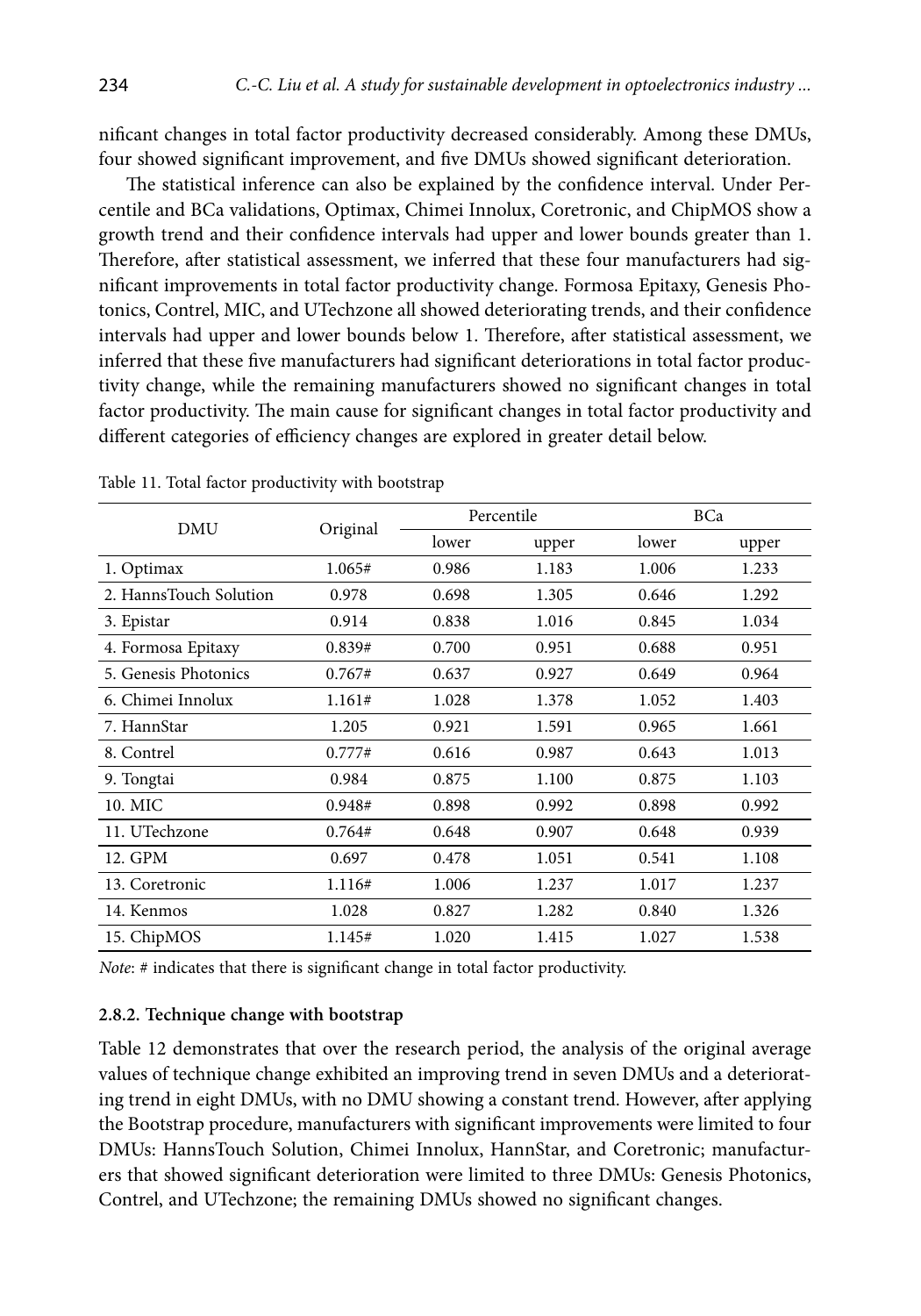nificant changes in total factor productivity decreased considerably. Among these DMUs, four showed significant improvement, and five DMUs showed significant deterioration.

The statistical inference can also be explained by the confidence interval. Under Percentile and BCa validations, Optimax, Chimei Innolux, Coretronic, and ChipMOS show a growth trend and their confidence intervals had upper and lower bounds greater than 1. Therefore, after statistical assessment, we inferred that these four manufacturers had significant improvements in total factor productivity change. Formosa Epitaxy, Genesis Photonics, Contrel, MIC, and UTechzone all showed deteriorating trends, and their confidence intervals had upper and lower bounds below 1. Therefore, after statistical assessment, we inferred that these five manufacturers had significant deteriorations in total factor productivity change, while the remaining manufacturers showed no significant changes in total factor productivity. The main cause for significant changes in total factor productivity and different categories of efficiency changes are explored in greater detail below.

| DMU                    |          |       | Percentile |       | BCa   |  |
|------------------------|----------|-------|------------|-------|-------|--|
|                        | Original | lower | upper      | lower | upper |  |
| 1. Optimax             | 1.065#   | 0.986 | 1.183      | 1.006 | 1.233 |  |
| 2. HannsTouch Solution | 0.978    | 0.698 | 1.305      | 0.646 | 1.292 |  |
| 3. Epistar             | 0.914    | 0.838 | 1.016      | 0.845 | 1.034 |  |
| 4. Formosa Epitaxy     | 0.839#   | 0.700 | 0.951      | 0.688 | 0.951 |  |
| 5. Genesis Photonics   | 0.767#   | 0.637 | 0.927      | 0.649 | 0.964 |  |
| 6. Chimei Innolux      | 1.161#   | 1.028 | 1.378      | 1.052 | 1.403 |  |
| 7. HannStar            | 1.205    | 0.921 | 1.591      | 0.965 | 1.661 |  |
| 8. Contrel             | 0.777#   | 0.616 | 0.987      | 0.643 | 1.013 |  |
| 9. Tongtai             | 0.984    | 0.875 | 1.100      | 0.875 | 1.103 |  |
| 10. MIC                | 0.948#   | 0.898 | 0.992      | 0.898 | 0.992 |  |
| 11. UTechzone          | 0.764#   | 0.648 | 0.907      | 0.648 | 0.939 |  |
| 12. GPM                | 0.697    | 0.478 | 1.051      | 0.541 | 1.108 |  |
| 13. Coretronic         | 1.116#   | 1.006 | 1.237      | 1.017 | 1.237 |  |
| 14. Kenmos             | 1.028    | 0.827 | 1.282      | 0.840 | 1.326 |  |
| 15. ChipMOS            | 1.145#   | 1.020 | 1.415      | 1.027 | 1.538 |  |

Table 11. Total factor productivity with bootstrap

*Note*: # indicates that there is significant change in total factor productivity.

## **2.8.2. Technique change with bootstrap**

Table 12 demonstrates that over the research period, the analysis of the original average values of technique change exhibited an improving trend in seven DMUs and a deteriorating trend in eight DMUs, with no DMU showing a constant trend. However, after applying the Bootstrap procedure, manufacturers with significant improvements were limited to four DMUs: HannsTouch Solution, Chimei Innolux, HannStar, and Coretronic; manufacturers that showed significant deterioration were limited to three DMUs: Genesis Photonics, Contrel, and UTechzone; the remaining DMUs showed no significant changes.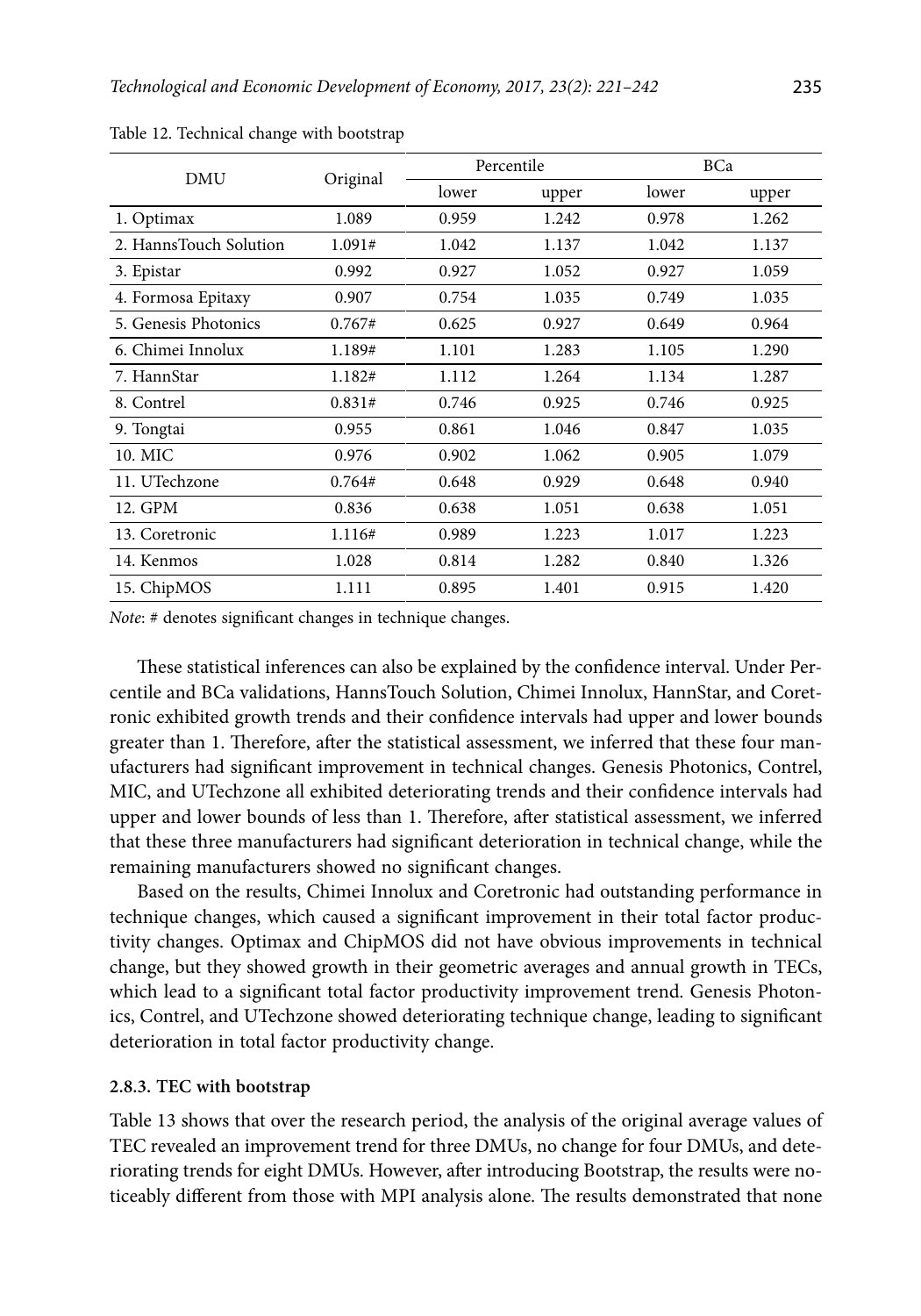| <b>DMU</b>             | Original | Percentile |       | BCa   |       |
|------------------------|----------|------------|-------|-------|-------|
|                        |          | lower      | upper | lower | upper |
| 1. Optimax             | 1.089    | 0.959      | 1.242 | 0.978 | 1.262 |
| 2. HannsTouch Solution | 1.091#   | 1.042      | 1.137 | 1.042 | 1.137 |
| 3. Epistar             | 0.992    | 0.927      | 1.052 | 0.927 | 1.059 |
| 4. Formosa Epitaxy     | 0.907    | 0.754      | 1.035 | 0.749 | 1.035 |
| 5. Genesis Photonics   | 0.767#   | 0.625      | 0.927 | 0.649 | 0.964 |
| 6. Chimei Innolux      | 1.189#   | 1.101      | 1.283 | 1.105 | 1.290 |
| 7. HannStar            | 1.182#   | 1.112      | 1.264 | 1.134 | 1.287 |
| 8. Contrel             | 0.831#   | 0.746      | 0.925 | 0.746 | 0.925 |
| 9. Tongtai             | 0.955    | 0.861      | 1.046 | 0.847 | 1.035 |
| 10. MIC                | 0.976    | 0.902      | 1.062 | 0.905 | 1.079 |
| 11. UTechzone          | 0.764#   | 0.648      | 0.929 | 0.648 | 0.940 |
| 12. GPM                | 0.836    | 0.638      | 1.051 | 0.638 | 1.051 |
| 13. Coretronic         | 1.116#   | 0.989      | 1.223 | 1.017 | 1.223 |
| 14. Kenmos             | 1.028    | 0.814      | 1.282 | 0.840 | 1.326 |
| 15. ChipMOS            | 1.111    | 0.895      | 1.401 | 0.915 | 1.420 |

Table 12. Technical change with bootstrap

*Note*: # denotes significant changes in technique changes.

These statistical inferences can also be explained by the confidence interval. Under Percentile and BCa validations, HannsTouch Solution, Chimei Innolux, HannStar, and Coretronic exhibited growth trends and their confidence intervals had upper and lower bounds greater than 1. Therefore, after the statistical assessment, we inferred that these four manufacturers had significant improvement in technical changes. Genesis Photonics, Contrel, MIC, and UTechzone all exhibited deteriorating trends and their confidence intervals had upper and lower bounds of less than 1. Therefore, after statistical assessment, we inferred that these three manufacturers had significant deterioration in technical change, while the remaining manufacturers showed no significant changes.

Based on the results, Chimei Innolux and Coretronic had outstanding performance in technique changes, which caused a significant improvement in their total factor productivity changes. Optimax and ChipMOS did not have obvious improvements in technical change, but they showed growth in their geometric averages and annual growth in TECs, which lead to a significant total factor productivity improvement trend. Genesis Photonics, Contrel, and UTechzone showed deteriorating technique change, leading to significant deterioration in total factor productivity change.

#### **2.8.3. TEC with bootstrap**

Table 13 shows that over the research period, the analysis of the original average values of TEC revealed an improvement trend for three DMUs, no change for four DMUs, and deteriorating trends for eight DMUs. However, after introducing Bootstrap, the results were noticeably different from those with MPI analysis alone. The results demonstrated that none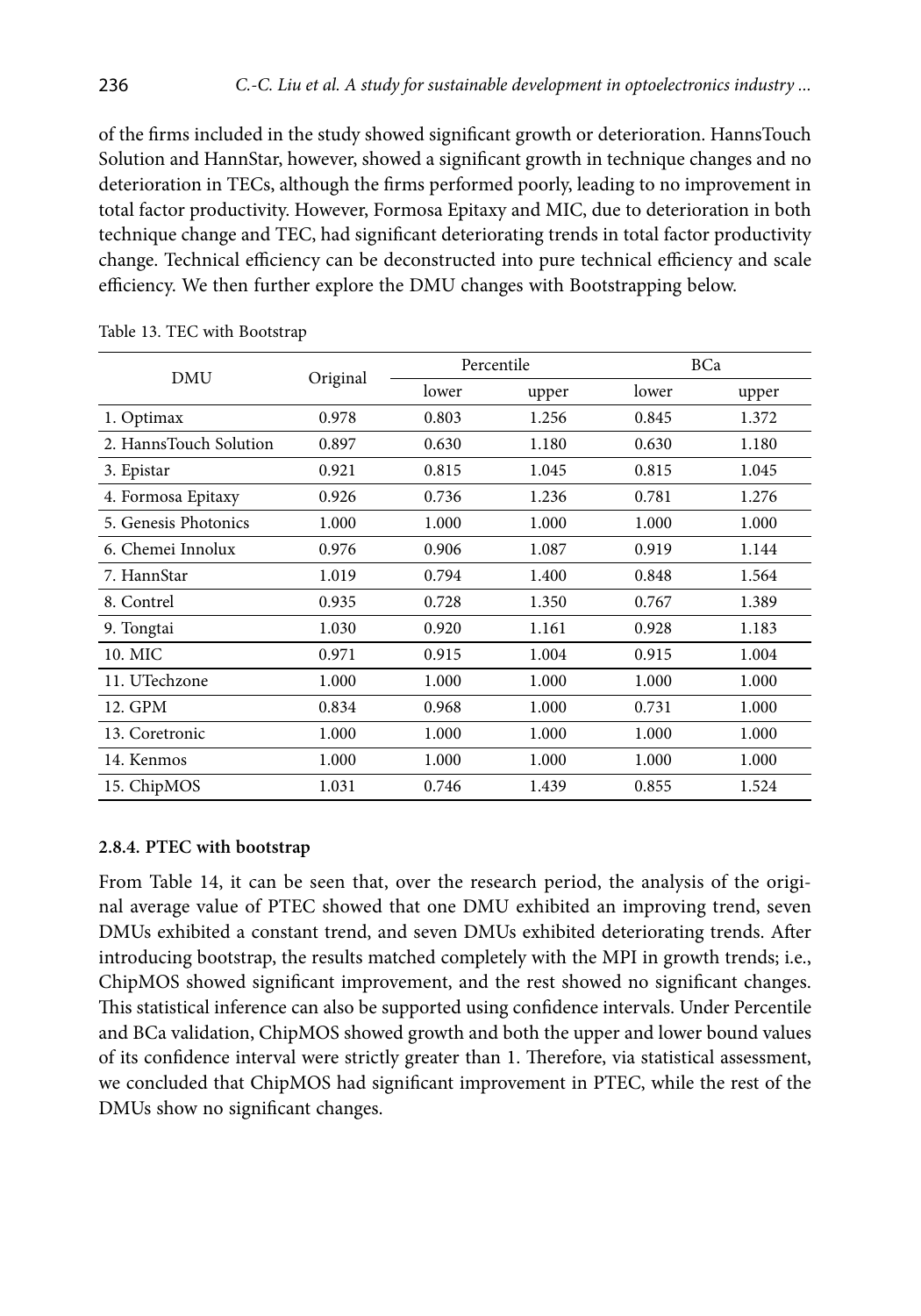of the firms included in the study showed significant growth or deterioration. HannsTouch Solution and HannStar, however, showed a significant growth in technique changes and no deterioration in TECs, although the firms performed poorly, leading to no improvement in total factor productivity. However, Formosa Epitaxy and MIC, due to deterioration in both technique change and TEC, had significant deteriorating trends in total factor productivity change. Technical efficiency can be deconstructed into pure technical efficiency and scale efficiency. We then further explore the DMU changes with Bootstrapping below.

|                        |          | Percentile |                                                                                                          | BCa   |       |
|------------------------|----------|------------|----------------------------------------------------------------------------------------------------------|-------|-------|
| DMU                    | Original | lower      | upper<br>1.256<br>1.180<br>1.045<br>1.236<br>1.000<br>1.087<br>1.400<br>1.350<br>1.161<br>1.004<br>1.000 | lower | upper |
| 1. Optimax             | 0.978    | 0.803      |                                                                                                          | 0.845 | 1.372 |
| 2. HannsTouch Solution | 0.897    | 0.630      |                                                                                                          | 0.630 | 1.180 |
| 3. Epistar             | 0.921    | 0.815      |                                                                                                          | 0.815 | 1.045 |
| 4. Formosa Epitaxy     | 0.926    | 0.736      |                                                                                                          | 0.781 | 1.276 |
| 5. Genesis Photonics   | 1.000    | 1.000      |                                                                                                          | 1.000 | 1.000 |
| 6. Chemei Innolux      | 0.976    | 0.906      |                                                                                                          | 0.919 | 1.144 |
| 7. HannStar            | 1.019    | 0.794      |                                                                                                          | 0.848 | 1.564 |
| 8. Contrel             | 0.935    | 0.728      |                                                                                                          | 0.767 | 1.389 |
| 9. Tongtai             | 1.030    | 0.920      |                                                                                                          | 0.928 | 1.183 |
| 10. MIC                | 0.971    | 0.915      |                                                                                                          | 0.915 | 1.004 |
| 11. UTechzone          | 1.000    | 1.000      |                                                                                                          | 1.000 | 1.000 |
| 12. GPM                | 0.834    | 0.968      | 1.000                                                                                                    | 0.731 | 1.000 |
| 13. Coretronic         | 1.000    | 1.000      | 1.000                                                                                                    | 1.000 | 1.000 |
| 14. Kenmos             | 1.000    | 1.000      | 1.000                                                                                                    | 1.000 | 1.000 |
| 15. ChipMOS            | 1.031    | 0.746      | 1.439                                                                                                    | 0.855 | 1.524 |

Table 13. TEC with Bootstrap

## **2.8.4. PTEC with bootstrap**

From Table 14, it can be seen that, over the research period, the analysis of the original average value of PTEC showed that one DMU exhibited an improving trend, seven DMUs exhibited a constant trend, and seven DMUs exhibited deteriorating trends. After introducing bootstrap, the results matched completely with the MPI in growth trends; i.e., ChipMOS showed significant improvement, and the rest showed no significant changes. This statistical inference can also be supported using confidence intervals. Under Percentile and BCa validation, ChipMOS showed growth and both the upper and lower bound values of its confidence interval were strictly greater than 1. Therefore, via statistical assessment, we concluded that ChipMOS had significant improvement in PTEC, while the rest of the DMUs show no significant changes.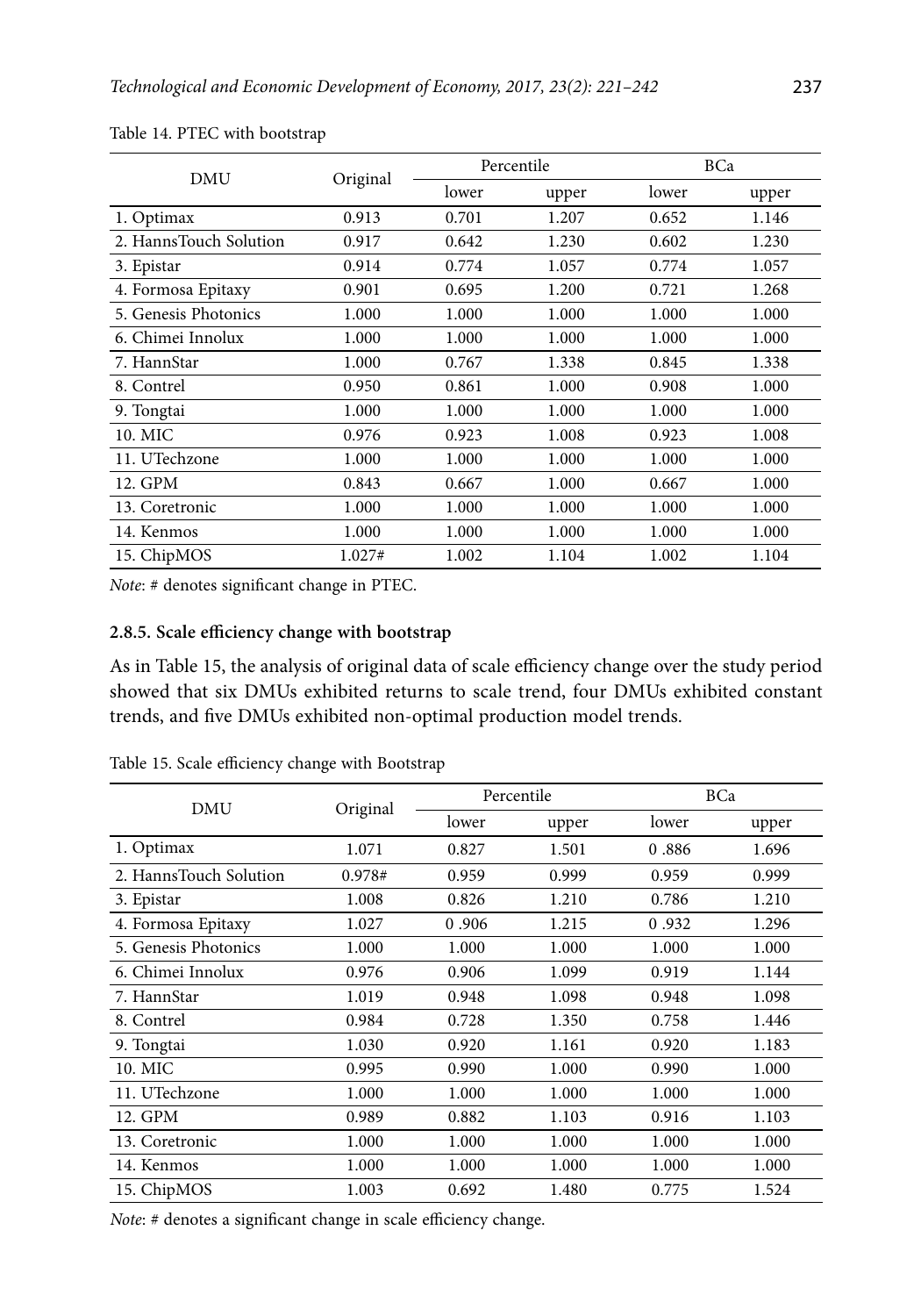| <b>DMU</b>             | Original | Percentile |       | BCa   |       |
|------------------------|----------|------------|-------|-------|-------|
|                        |          | lower      | upper | lower | upper |
| 1. Optimax             | 0.913    | 0.701      | 1.207 | 0.652 | 1.146 |
| 2. HannsTouch Solution | 0.917    | 0.642      | 1.230 | 0.602 | 1.230 |
| 3. Epistar             | 0.914    | 0.774      | 1.057 | 0.774 | 1.057 |
| 4. Formosa Epitaxy     | 0.901    | 0.695      | 1.200 | 0.721 | 1.268 |
| 5. Genesis Photonics   | 1.000    | 1.000      | 1.000 | 1.000 | 1.000 |
| 6. Chimei Innolux      | 1.000    | 1.000      | 1.000 | 1.000 | 1.000 |
| 7. HannStar            | 1.000    | 0.767      | 1.338 | 0.845 | 1.338 |
| 8. Contrel             | 0.950    | 0.861      | 1.000 | 0.908 | 1.000 |
| 9. Tongtai             | 1.000    | 1.000      | 1.000 | 1.000 | 1.000 |
| 10. MIC                | 0.976    | 0.923      | 1.008 | 0.923 | 1.008 |
| 11. UTechzone          | 1.000    | 1.000      | 1.000 | 1.000 | 1.000 |
| 12. GPM                | 0.843    | 0.667      | 1.000 | 0.667 | 1.000 |
| 13. Coretronic         | 1.000    | 1.000      | 1.000 | 1.000 | 1.000 |
| 14. Kenmos             | 1.000    | 1.000      | 1.000 | 1.000 | 1.000 |
| 15. ChipMOS            | 1.027#   | 1.002      | 1.104 | 1.002 | 1.104 |

Table 14. PTEC with bootstrap

*Note*: # denotes significant change in PTEC.

## **2.8.5. Scale efficiency change with bootstrap**

As in Table 15, the analysis of original data of scale efficiency change over the study period showed that six DMUs exhibited returns to scale trend, four DMUs exhibited constant trends, and five DMUs exhibited non-optimal production model trends.

| <b>DMU</b>             |       | Percentile                                                                                                                                                                                                                                                   |       | BCa   |       |
|------------------------|-------|--------------------------------------------------------------------------------------------------------------------------------------------------------------------------------------------------------------------------------------------------------------|-------|-------|-------|
|                        |       | Original<br>lower<br>1.071<br>0.827<br>0.978#<br>0.959<br>1.008<br>0.826<br>1.027<br>0.906<br>1.000<br>1.000<br>0.976<br>0.906<br>1.019<br>0.948<br>0.984<br>0.728<br>1.030<br>0.920<br>0.995<br>0.990<br>1.000<br>1.000<br>0.882<br>0.989<br>1.000<br>1.000 | upper | lower | upper |
| 1. Optimax             |       |                                                                                                                                                                                                                                                              | 1.501 | 0.886 | 1.696 |
| 2. HannsTouch Solution |       |                                                                                                                                                                                                                                                              | 0.999 | 0.959 | 0.999 |
| 3. Epistar             |       |                                                                                                                                                                                                                                                              | 1.210 | 0.786 | 1.210 |
| 4. Formosa Epitaxy     |       |                                                                                                                                                                                                                                                              | 1.215 | 0.932 | 1.296 |
| 5. Genesis Photonics   |       |                                                                                                                                                                                                                                                              | 1.000 | 1.000 | 1.000 |
| 6. Chimei Innolux      |       |                                                                                                                                                                                                                                                              | 1.099 | 0.919 | 1.144 |
| 7. HannStar            |       |                                                                                                                                                                                                                                                              | 1.098 | 0.948 | 1.098 |
| 8. Contrel             |       |                                                                                                                                                                                                                                                              | 1.350 | 0.758 | 1.446 |
| 9. Tongtai             |       |                                                                                                                                                                                                                                                              | 1.161 | 0.920 | 1.183 |
| 10. MIC                |       |                                                                                                                                                                                                                                                              | 1.000 | 0.990 | 1.000 |
| 11. UTechzone          |       |                                                                                                                                                                                                                                                              | 1.000 | 1.000 | 1.000 |
| 12. GPM                |       |                                                                                                                                                                                                                                                              | 1.103 | 0.916 | 1.103 |
| 13. Coretronic         |       |                                                                                                                                                                                                                                                              | 1.000 | 1.000 | 1.000 |
| 14. Kenmos             | 1.000 | 1.000                                                                                                                                                                                                                                                        | 1.000 | 1.000 | 1.000 |
| 15. ChipMOS            | 1.003 | 0.692                                                                                                                                                                                                                                                        | 1.480 | 0.775 | 1.524 |

Table 15. Scale efficiency change with Bootstrap

*Note*: # denotes a significant change in scale efficiency change.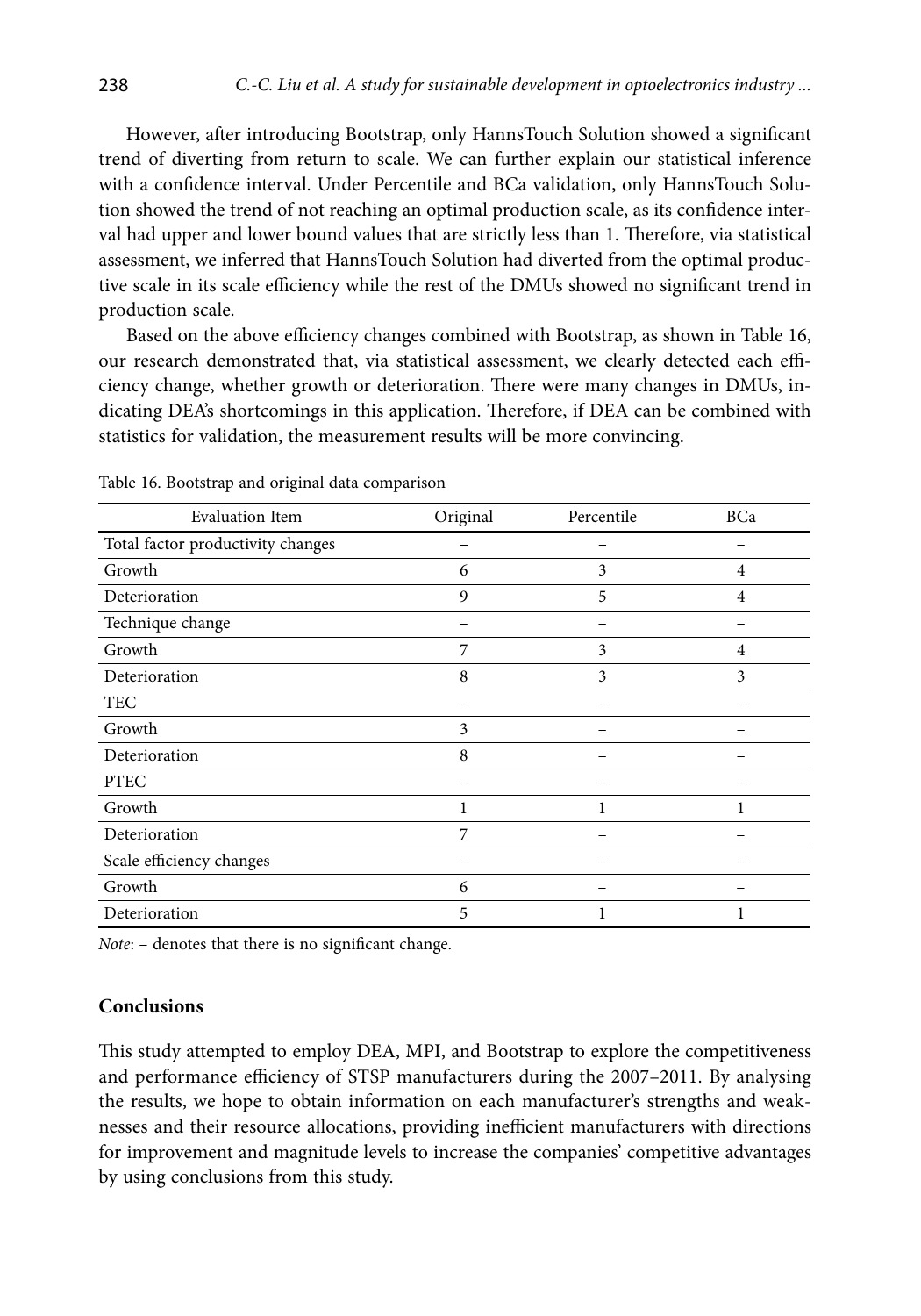However, after introducing Bootstrap, only HannsTouch Solution showed a significant trend of diverting from return to scale. We can further explain our statistical inference with a confidence interval. Under Percentile and BCa validation, only HannsTouch Solution showed the trend of not reaching an optimal production scale, as its confidence interval had upper and lower bound values that are strictly less than 1. Therefore, via statistical assessment, we inferred that HannsTouch Solution had diverted from the optimal productive scale in its scale efficiency while the rest of the DMUs showed no significant trend in production scale.

Based on the above efficiency changes combined with Bootstrap, as shown in Table 16, our research demonstrated that, via statistical assessment, we clearly detected each efficiency change, whether growth or deterioration. There were many changes in DMUs, indicating DEA's shortcomings in this application. Therefore, if DEA can be combined with statistics for validation, the measurement results will be more convincing.

| <b>Evaluation Item</b>            | Original | Percentile | BCa |
|-----------------------------------|----------|------------|-----|
| Total factor productivity changes |          |            |     |
| Growth                            | 6        | 3          | 4   |
| Deterioration                     | 9        | 5          | 4   |
| Technique change                  |          |            |     |
| Growth                            | 7        | 3          | 4   |
| Deterioration                     | 8        | 3          | 3   |
| <b>TEC</b>                        |          |            |     |
| Growth                            | 3        |            |     |
| Deterioration                     | 8        |            |     |
| <b>PTEC</b>                       |          |            |     |
| Growth                            |          |            |     |
| Deterioration                     | 7        |            |     |
| Scale efficiency changes          |          |            |     |
| Growth                            | 6        |            |     |
| Deterioration                     | 5        |            | 1   |

Table 16. Bootstrap and original data comparison

*Note*: – denotes that there is no significant change.

## **Conclusions**

This study attempted to employ DEA, MPI, and Bootstrap to explore the competitiveness and performance efficiency of STSP manufacturers during the 2007–2011. By analysing the results, we hope to obtain information on each manufacturer's strengths and weaknesses and their resource allocations, providing inefficient manufacturers with directions for improvement and magnitude levels to increase the companies' competitive advantages by using conclusions from this study.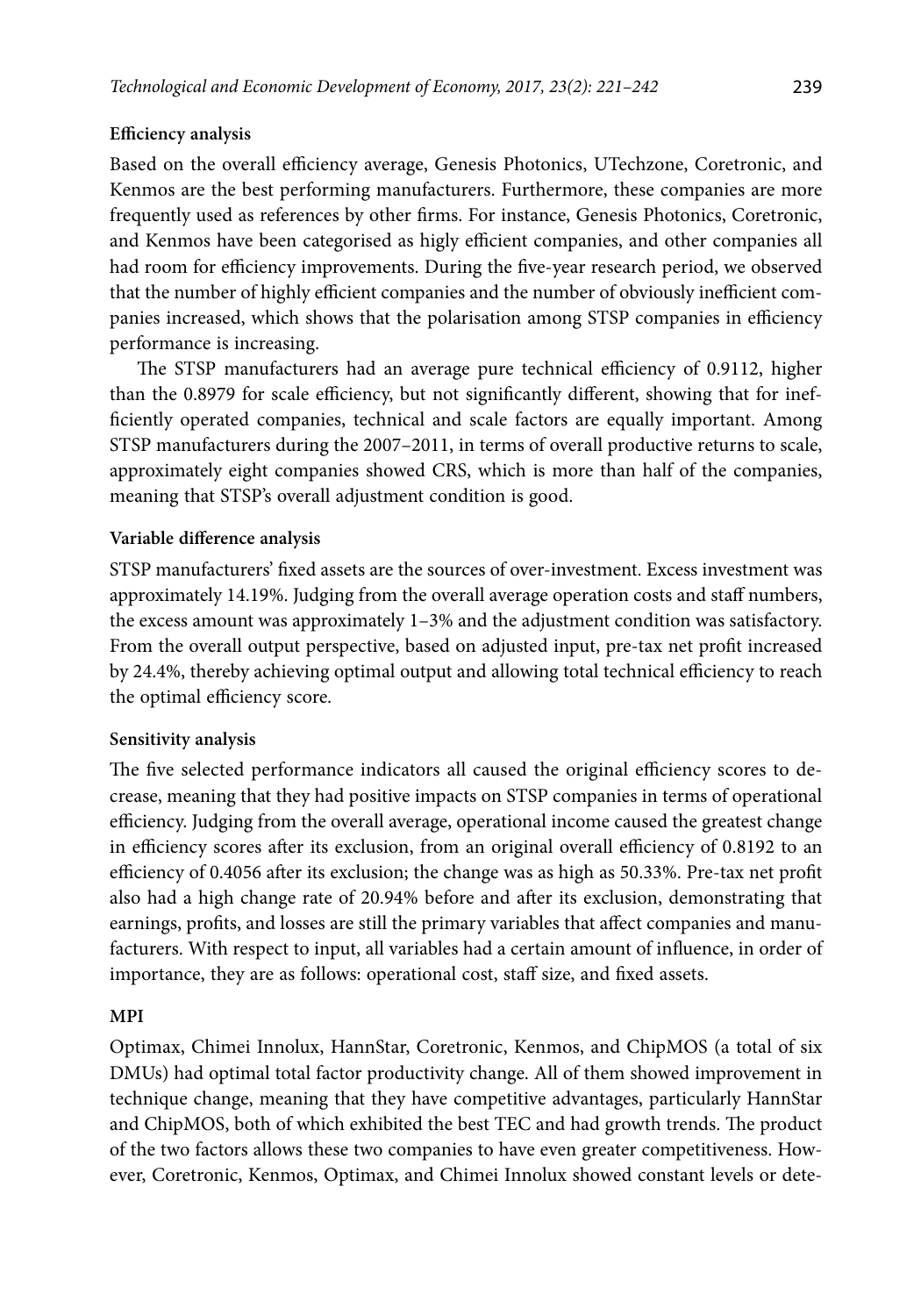## **Efficiency analysis**

Based on the overall efficiency average, Genesis Photonics, UTechzone, Coretronic, and Kenmos are the best performing manufacturers. Furthermore, these companies are more frequently used as references by other firms. For instance, Genesis Photonics, Coretronic, and Kenmos have been categorised as higly efficient companies, and other companies all had room for efficiency improvements. During the five-year research period, we observed that the number of highly efficient companies and the number of obviously inefficient companies increased, which shows that the polarisation among STSP companies in efficiency performance is increasing.

The STSP manufacturers had an average pure technical efficiency of 0.9112, higher than the 0.8979 for scale efficiency, but not significantly different, showing that for inefficiently operated companies, technical and scale factors are equally important. Among STSP manufacturers during the 2007–2011, in terms of overall productive returns to scale, approximately eight companies showed CRS, which is more than half of the companies, meaning that STSP's overall adjustment condition is good.

## **Variable difference analysis**

STSP manufacturers' fixed assets are the sources of over-investment. Excess investment was approximately 14.19%. Judging from the overall average operation costs and staff numbers, the excess amount was approximately 1–3% and the adjustment condition was satisfactory. From the overall output perspective, based on adjusted input, pre-tax net profit increased by 24.4%, thereby achieving optimal output and allowing total technical efficiency to reach the optimal efficiency score.

## **Sensitivity analysis**

The five selected performance indicators all caused the original efficiency scores to decrease, meaning that they had positive impacts on STSP companies in terms of operational efficiency. Judging from the overall average, operational income caused the greatest change in efficiency scores after its exclusion, from an original overall efficiency of 0.8192 to an efficiency of 0.4056 after its exclusion; the change was as high as 50.33%. Pre-tax net profit also had a high change rate of 20.94% before and after its exclusion, demonstrating that earnings, profits, and losses are still the primary variables that affect companies and manufacturers. With respect to input, all variables had a certain amount of influence, in order of importance, they are as follows: operational cost, staff size, and fixed assets.

## **MPI**

Optimax, Chimei Innolux, HannStar, Coretronic, Kenmos, and ChipMOS (a total of six DMUs) had optimal total factor productivity change. All of them showed improvement in technique change, meaning that they have competitive advantages, particularly HannStar and ChipMOS, both of which exhibited the best TEC and had growth trends. The product of the two factors allows these two companies to have even greater competitiveness. However, Coretronic, Kenmos, Optimax, and Chimei Innolux showed constant levels or dete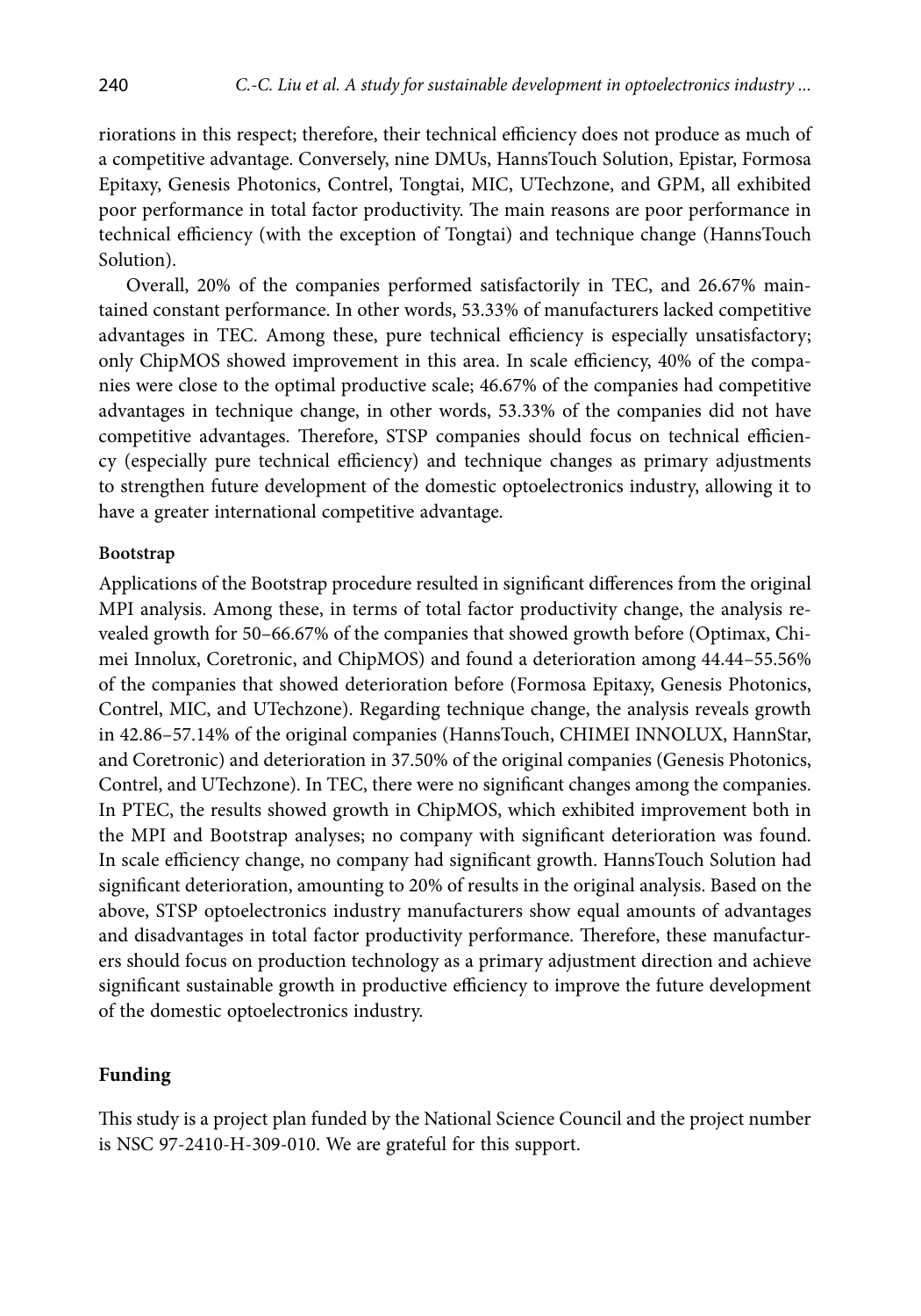riorations in this respect; therefore, their technical efficiency does not produce as much of a competitive advantage. Conversely, nine DMUs, HannsTouch Solution, Epistar, Formosa Epitaxy, Genesis Photonics, Contrel, Tongtai, MIC, UTechzone, and GPM, all exhibited poor performance in total factor productivity. The main reasons are poor performance in technical efficiency (with the exception of Tongtai) and technique change (HannsTouch Solution).

Overall, 20% of the companies performed satisfactorily in TEC, and 26.67% maintained constant performance. In other words, 53.33% of manufacturers lacked competitive advantages in TEC. Among these, pure technical efficiency is especially unsatisfactory; only ChipMOS showed improvement in this area. In scale efficiency, 40% of the companies were close to the optimal productive scale; 46.67% of the companies had competitive advantages in technique change, in other words, 53.33% of the companies did not have competitive advantages. Therefore, STSP companies should focus on technical efficiency (especially pure technical efficiency) and technique changes as primary adjustments to strengthen future development of the domestic optoelectronics industry, allowing it to have a greater international competitive advantage.

#### **Bootstrap**

Applications of the Bootstrap procedure resulted in significant differences from the original MPI analysis. Among these, in terms of total factor productivity change, the analysis revealed growth for 50–66.67% of the companies that showed growth before (Optimax, Chimei Innolux, Coretronic, and ChipMOS) and found a deterioration among 44.44–55.56% of the companies that showed deterioration before (Formosa Epitaxy, Genesis Photonics, Contrel, MIC, and UTechzone). Regarding technique change, the analysis reveals growth in 42.86–57.14% of the original companies (HannsTouch, CHIMEI INNOLUX, HannStar, and Coretronic) and deterioration in 37.50% of the original companies (Genesis Photonics, Contrel, and UTechzone). In TEC, there were no significant changes among the companies. In PTEC, the results showed growth in ChipMOS, which exhibited improvement both in the MPI and Bootstrap analyses; no company with significant deterioration was found. In scale efficiency change, no company had significant growth. HannsTouch Solution had significant deterioration, amounting to 20% of results in the original analysis. Based on the above, STSP optoelectronics industry manufacturers show equal amounts of advantages and disadvantages in total factor productivity performance. Therefore, these manufacturers should focus on production technology as a primary adjustment direction and achieve significant sustainable growth in productive efficiency to improve the future development of the domestic optoelectronics industry.

## **Funding**

This study is a project plan funded by the National Science Council and the project number is NSC 97-2410-H-309-010. We are grateful for this support.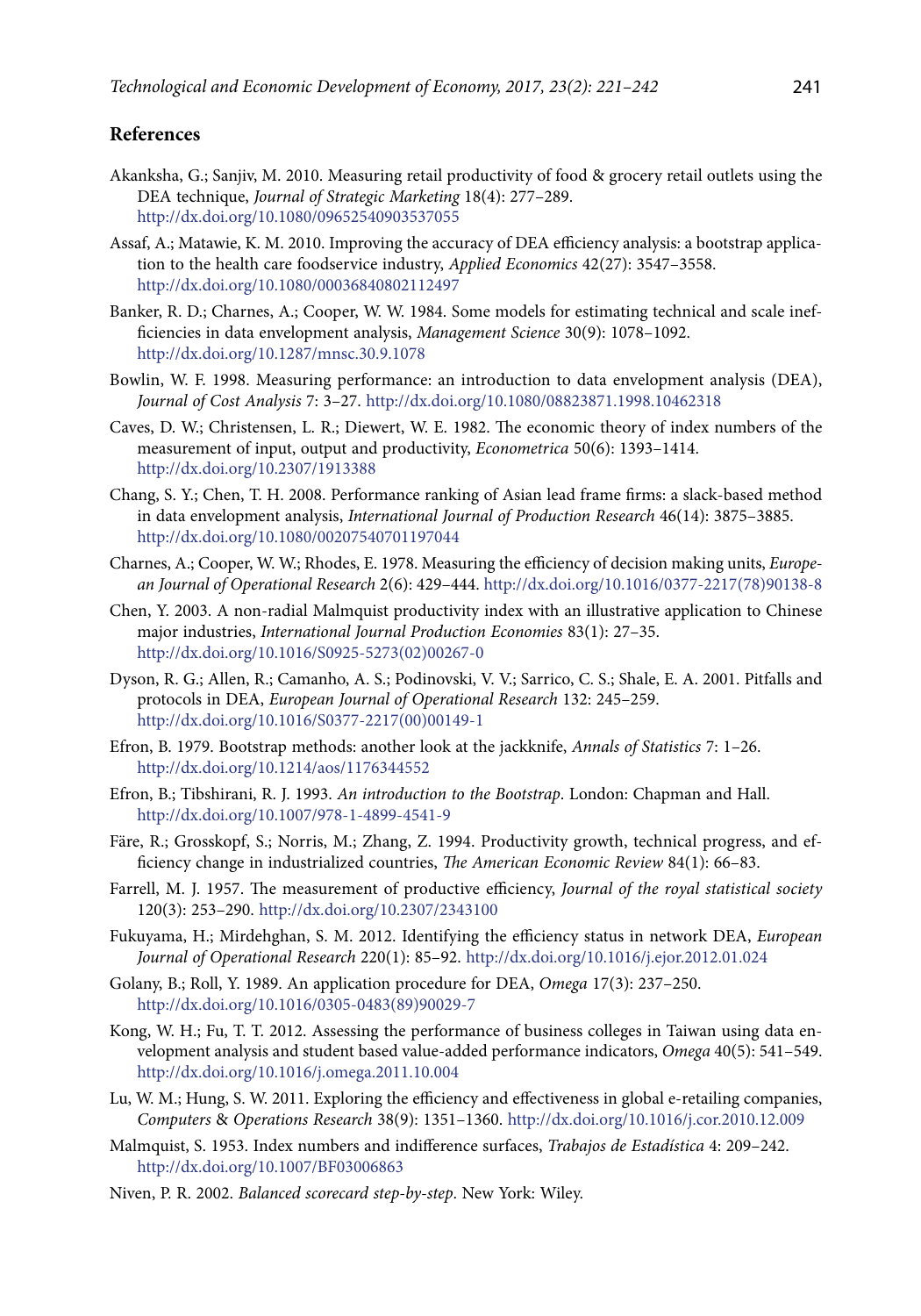## **References**

- Akanksha, G.; Sanjiv, M. 2010. Measuring retail productivity of food & grocery retail outlets using the DEA technique, *Journal of Strategic Marketing* 18(4): 277–289. http://dx.doi.org/10.1080/09652540903537055
- Assaf, A.; Matawie, K. M. 2010. Improving the accuracy of DEA efficiency analysis: a bootstrap application to the health care foodservice industry, *Applied Economics* 42(27): 3547–3558. http://dx.doi.org/10.1080/00036840802112497
- Banker, R. D.; Charnes, A.; Cooper, W. W. 1984. Some models for estimating technical and scale inefficiencies in data envelopment analysis, *Management Science* 30(9): 1078–1092. http://dx.doi.org/10.1287/mnsc.30.9.1078
- Bowlin, W. F. 1998. Measuring performance: an introduction to data envelopment analysis (DEA), *Journal of Cost Analysis* 7: 3–27. http://dx.doi.org/10.1080/08823871.1998.10462318
- Caves, D. W.; Christensen, L. R.; Diewert, W. E. 1982. The economic theory of index numbers of the measurement of input, output and productivity, *Econometrica* 50(6): 1393–1414. http://dx.doi.org/10.2307/1913388
- Chang, S. Y.; Chen, T. H. 2008. Performance ranking of Asian lead frame firms: a slack-based method in data envelopment analysis, *International Journal of Production Research* 46(14): 3875–3885. http://dx.doi.org/10.1080/00207540701197044
- Charnes, A.; Cooper, W. W.; Rhodes, E. 1978. Measuring the efficiency of decision making units, *European Journal of Operational Research* 2(6): 429–444. http://dx.doi.org/10.1016/0377-2217(78)90138-8
- Chen, Y. 2003. A non-radial Malmquist productivity index with an illustrative application to Chinese major industries, *International Journal Production Economies* 83(1): 27–35. http://dx.doi.org/10.1016/S0925-5273(02)00267-0
- Dyson, R. G.; Allen, R.; Camanho, A. S.; Podinovski, V. V.; Sarrico, C. S.; Shale, E. A. 2001. Pitfalls and protocols in DEA, *European Journal of Operational Research* 132: 245–259. http://dx.doi.org/10.1016/S0377-2217(00)00149-1
- Efron, B. 1979. Bootstrap methods: another look at the jackknife, *Annals of Statistics* 7: 1–26. http://dx.doi.org/10.1214/aos/1176344552
- Efron, B.; Tibshirani, R. J. 1993. *An introduction to the Bootstrap*. London: Chapman and Hall. http://dx.doi.org/10.1007/978-1-4899-4541-9
- Färe, R.; Grosskopf, S.; Norris, M.; Zhang, Z. 1994. Productivity growth, technical progress, and efficiency change in industrialized countries, *The American Economic Review* 84(1): 66–83.
- Farrell, M. J. 1957. The measurement of productive efficiency, *Journal of the royal statistical society* 120(3): 253–290. http://dx.doi.org/10.2307/2343100
- Fukuyama, H.; Mirdehghan, S. M. 2012. Identifying the efficiency status in network DEA, *European Journal of Operational Research* 220(1): 85–92. http://dx.doi.org/10.1016/j.ejor.2012.01.024
- Golany, B.; Roll, Y. 1989. An application procedure for DEA, *Omega* 17(3): 237–250. http://dx.doi.org/10.1016/0305-0483(89)90029-7
- Kong, W. H.; Fu, T. T. 2012. Assessing the performance of business colleges in Taiwan using data envelopment analysis and student based value-added performance indicators, *Omega* 40(5): 541–549. http://dx.doi.org/10.1016/j.omega.2011.10.004
- Lu, W. M.; Hung, S. W. 2011. Exploring the efficiency and effectiveness in global e-retailing companies, *Computers* & *Operations Research* 38(9): 1351–1360. http://dx.doi.org/10.1016/j.cor.2010.12.009
- Malmquist, S. 1953. Index numbers and indifference surfaces, *Trabajos de Estadística* 4: 209–242. http://dx.doi.org/10.1007/BF03006863
- Niven, P. R. 2002. *Balanced scorecard step-by-step*. New York: Wiley.